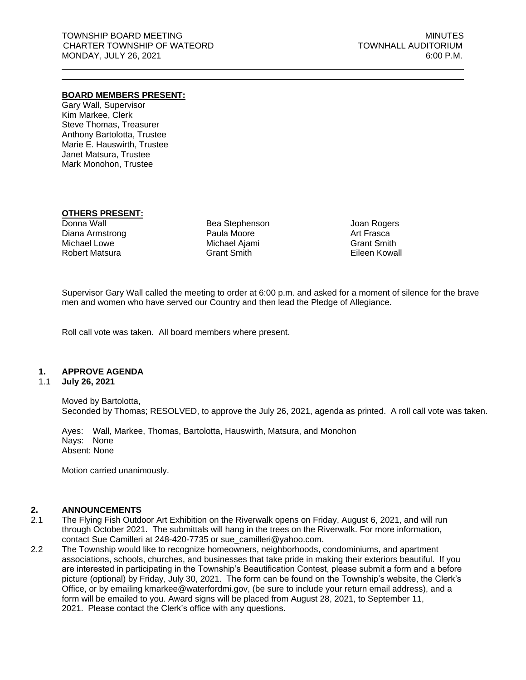### **BOARD MEMBERS PRESENT:**

Gary Wall, Supervisor Kim Markee, Clerk Steve Thomas, Treasurer Anthony Bartolotta, Trustee Marie E. Hauswirth, Trustee Janet Matsura, Trustee Mark Monohon, Trustee

## **OTHERS PRESENT:**

Donna Wall Diana Armstrong Michael Lowe Robert Matsura

Bea Stephenson Paula Moore Michael Ajami Grant Smith

Joan Rogers Art Frasca Grant Smith Eileen Kowall

Supervisor Gary Wall called the meeting to order at 6:00 p.m. and asked for a moment of silence for the brave men and women who have served our Country and then lead the Pledge of Allegiance.

Roll call vote was taken. All board members where present.

### **1. APPROVE AGENDA**

#### 1.1 **July 26, 2021**

Moved by Bartolotta, Seconded by Thomas; RESOLVED, to approve the July 26, 2021, agenda as printed. A roll call vote was taken.

Ayes: Wall, Markee, Thomas, Bartolotta, Hauswirth, Matsura, and Monohon Nays: None Absent: None

Motion carried unanimously.

### **2. ANNOUNCEMENTS**

- 2.1 The Flying Fish Outdoor Art Exhibition on the Riverwalk opens on Friday, August 6, 2021, and will run through October 2021. The submittals will hang in the trees on the Riverwalk. For more information, contact Sue Camilleri at 248-420-7735 or [sue\\_camilleri@yahoo.com.](mailto:sue_camilleri@yahoo.com)
- 2.2 The Township would like to recognize homeowners, neighborhoods, condominiums, and apartment associations, schools, churches, and businesses that take pride in making their exteriors beautiful. If you are interested in participating in the Township's Beautification Contest, please submit a form and a before picture (optional) by Friday, July 30, 2021. The form can be found on the Township's website, the Clerk's Office, or by emailing kmarkee@waterfordmi.gov, (be sure to include your return email address), and a form will be emailed to you. Award signs will be placed from August 28, 2021, to September 11, 2021. Please contact the Clerk's office with any questions.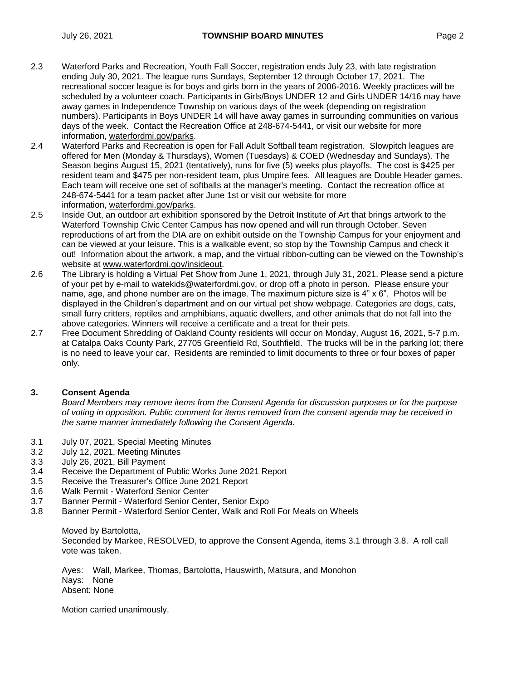- 2.3 Waterford Parks and Recreation, Youth Fall Soccer, registration ends July 23, with late registration ending July 30, 2021. The league runs Sundays, September 12 through October 17, 2021. The recreational soccer league is for boys and girls born in the years of 2006-2016. Weekly practices will be scheduled by a volunteer coach. Participants in Girls/Boys UNDER 12 and Girls UNDER 14/16 may have away games in Independence Township on various days of the week (depending on registration numbers). Participants in Boys UNDER 14 will have away games in surrounding communities on various days of the week. Contact the Recreation Office at 248-674-5441, or visit our website for more information, [waterfordmi.gov/parks.](https://waterfordmi.gov/parks)
- 2.4 Waterford Parks and Recreation is open for Fall Adult Softball team registration. Slowpitch leagues are offered for Men (Monday & Thursdays), Women (Tuesdays) & COED (Wednesday and Sundays). The Season begins August 15, 2021 (tentatively), runs for five (5) weeks plus playoffs. The cost is \$425 per resident team and \$475 per non-resident team, plus Umpire fees. All leagues are Double Header games. Each team will receive one set of softballs at the manager's meeting. Contact the recreation office at 248-674-5441 for a team packet after June 1st or visit our website for more information, [waterfordmi.gov/parks.](https://waterfordmi.gov/parks)
- 2.5 Inside Out, an outdoor art exhibition sponsored by the Detroit Institute of Art that brings artwork to the Waterford Township Civic Center Campus has now opened and will run through October. Seven reproductions of art from the DIA are on exhibit outside on the Township Campus for your enjoyment and can be viewed at your leisure. This is a walkable event, so stop by the Township Campus and check it out! Information about the artwork, a map, and the virtual ribbon-cutting can be viewed on the Township's website at [www.waterfordmi.gov/insideout.](https://linkprotect.cudasvc.com/url?a=http:%2f%2fwww.waterfordmi.gov%2finsideout&c=E,1,tvhjSqicgnXjJDeeE1wB4u4UV2XTnFVQSHUbsczCjBxDcB0HBNtkQCRHQnCyEp6-Hjw-7PCwplnJN4FY_M9zLsTzzbSjHUP3M70A0F5E2-QDtP0WeJH-&typo=1)
- 2.6 The Library is holding a Virtual Pet Show from June 1, 2021, through July 31, 2021. Please send a picture of your pet by e-mail to watekids@waterfordmi.gov, or drop off a photo in person. Please ensure your name, age, and phone number are on the image. The maximum picture size is 4" x 6". Photos will be displayed in the Children's department and on our virtual pet show webpage. Categories are dogs, cats, small furry critters, reptiles and amphibians, aquatic dwellers, and other animals that do not fall into the above categories. Winners will receive a certificate and a treat for their pets.
- 2.7 Free Document Shredding of Oakland County residents will occur on Monday, August 16, 2021, 5-7 p.m. at Catalpa Oaks County Park, 27705 Greenfield Rd, Southfield. The trucks will be in the parking lot; there is no need to leave your car. Residents are reminded to limit documents to three or four boxes of paper only.

## **3. Consent Agenda**

*Board Members may remove items from the Consent Agenda for discussion purposes or for the purpose of voting in opposition. Public comment for items removed from the consent agenda may be received in the same manner immediately following the Consent Agenda.*

- 3.1 July 07, 2021, Special Meeting Minutes
- 3.2 July 12, 2021, Meeting Minutes
- 3.3 July 26, 2021, Bill Payment
- 3.4 Receive the Department of Public Works June 2021 Report
- 3.5 Receive the Treasurer's Office June 2021 Report
- 3.6 Walk Permit Waterford Senior Center
- 3.7 Banner Permit Waterford Senior Center, Senior Expo
- 3.8 Banner Permit Waterford Senior Center, Walk and Roll For Meals on Wheels

Moved by Bartolotta,

Seconded by Markee, RESOLVED, to approve the Consent Agenda, items 3.1 through 3.8. A roll call vote was taken.

Ayes: Wall, Markee, Thomas, Bartolotta, Hauswirth, Matsura, and Monohon Nays: None Absent: None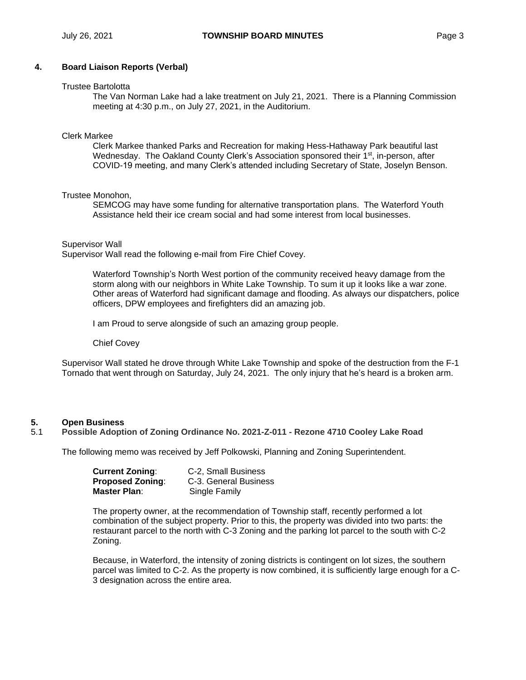## **4. Board Liaison Reports (Verbal)**

#### Trustee Bartolotta

The Van Norman Lake had a lake treatment on July 21, 2021. There is a Planning Commission meeting at 4:30 p.m., on July 27, 2021, in the Auditorium.

#### Clerk Markee

Clerk Markee thanked Parks and Recreation for making Hess-Hathaway Park beautiful last Wednesday. The Oakland County Clerk's Association sponsored their 1<sup>st</sup>, in-person, after COVID-19 meeting, and many Clerk's attended including Secretary of State, Joselyn Benson.

### Trustee Monohon,

SEMCOG may have some funding for alternative transportation plans. The Waterford Youth Assistance held their ice cream social and had some interest from local businesses.

#### Supervisor Wall

Supervisor Wall read the following e-mail from Fire Chief Covey.

Waterford Township's North West portion of the community received heavy damage from the storm along with our neighbors in White Lake Township. To sum it up it looks like a war zone. Other areas of Waterford had significant damage and flooding. As always our dispatchers, police officers, DPW employees and firefighters did an amazing job.

I am Proud to serve alongside of such an amazing group people.

#### Chief Covey

Supervisor Wall stated he drove through White Lake Township and spoke of the destruction from the F-1 Tornado that went through on Saturday, July 24, 2021. The only injury that he's heard is a broken arm.

### **5. Open Business**

### 5.1 **Possible Adoption of Zoning Ordinance No. 2021-Z-011 - Rezone 4710 Cooley Lake Road**

The following memo was received by Jeff Polkowski, Planning and Zoning Superintendent.

| <b>Current Zoning:</b>  | C-2, Small Business   |
|-------------------------|-----------------------|
| <b>Proposed Zoning:</b> | C-3. General Business |
| Master Plan:            | Single Family         |

The property owner, at the recommendation of Township staff, recently performed a lot combination of the subject property. Prior to this, the property was divided into two parts: the restaurant parcel to the north with C-3 Zoning and the parking lot parcel to the south with C-2 Zoning.

Because, in Waterford, the intensity of zoning districts is contingent on lot sizes, the southern parcel was limited to C-2. As the property is now combined, it is sufficiently large enough for a C-3 designation across the entire area.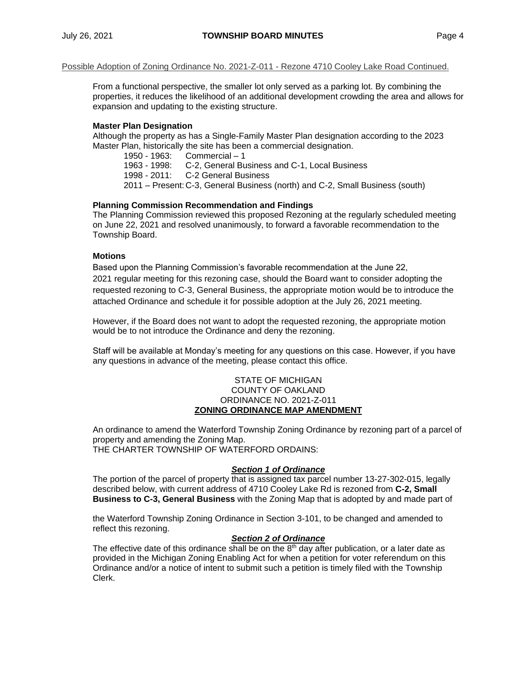### Possible Adoption of Zoning Ordinance No. 2021-Z-011 - Rezone 4710 Cooley Lake Road Continued.

From a functional perspective, the smaller lot only served as a parking lot. By combining the properties, it reduces the likelihood of an additional development crowding the area and allows for expansion and updating to the existing structure.

### **Master Plan Designation**

Although the property as has a Single-Family Master Plan designation according to the 2023 Master Plan, historically the site has been a commercial designation.

1950 - 1963: Commercial – 1

1963 - 1998: C-2, General Business and C-1, Local Business

1998 - 2011: C-2 General Business

2011 – Present:C-3, General Business (north) and C-2, Small Business (south)

### **Planning Commission Recommendation and Findings**

The Planning Commission reviewed this proposed Rezoning at the regularly scheduled meeting on June 22, 2021 and resolved unanimously, to forward a favorable recommendation to the Township Board.

### **Motions**

Based upon the Planning Commission's favorable recommendation at the June 22, 2021 regular meeting for this rezoning case, should the Board want to consider adopting the requested rezoning to C-3, General Business, the appropriate motion would be to introduce the attached Ordinance and schedule it for possible adoption at the July 26, 2021 meeting.

However, if the Board does not want to adopt the requested rezoning, the appropriate motion would be to not introduce the Ordinance and deny the rezoning.

Staff will be available at Monday's meeting for any questions on this case. However, if you have any questions in advance of the meeting, please contact this office.

### STATE OF MICHIGAN COUNTY OF OAKLAND ORDINANCE NO. 2021-Z-011 **ZONING ORDINANCE MAP AMENDMENT**

An ordinance to amend the Waterford Township Zoning Ordinance by rezoning part of a parcel of property and amending the Zoning Map. THE CHARTER TOWNSHIP OF WATERFORD ORDAINS:

### *Section 1 of Ordinance*

The portion of the parcel of property that is assigned tax parcel number 13-27-302-015, legally described below, with current address of 4710 Cooley Lake Rd is rezoned from **C-2, Small Business to C-3, General Business** with the Zoning Map that is adopted by and made part of

the Waterford Township Zoning Ordinance in Section 3-101, to be changed and amended to reflect this rezoning.

## *Section 2 of Ordinance*

The effective date of this ordinance shall be on the  $8<sup>th</sup>$  day after publication, or a later date as provided in the Michigan Zoning Enabling Act for when a petition for voter referendum on this Ordinance and/or a notice of intent to submit such a petition is timely filed with the Township Clerk.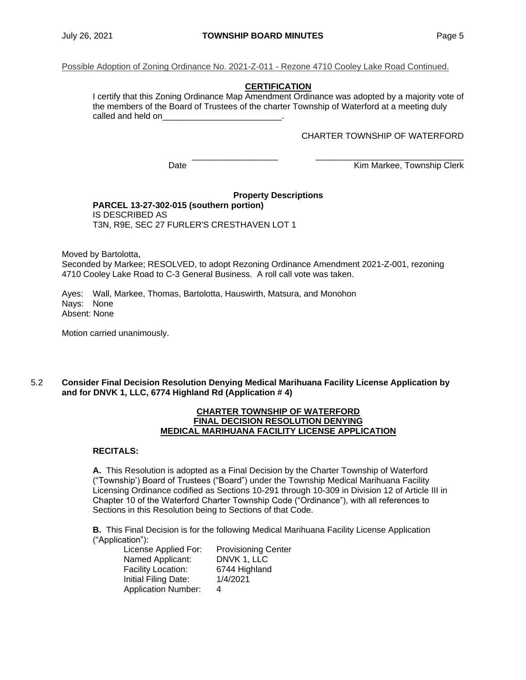Possible Adoption of Zoning Ordinance No. 2021-Z-011 - Rezone 4710 Cooley Lake Road Continued.

# **CERTIFICATION**

I certify that this Zoning Ordinance Map Amendment Ordinance was adopted by a majority vote of the members of the Board of Trustees of the charter Township of Waterford at a meeting duly called and held on

### CHARTER TOWNSHIP OF WATERFORD

\_\_\_\_\_\_\_\_\_\_\_\_\_\_\_\_\_\_ \_\_\_\_\_\_\_\_\_\_\_\_\_\_\_\_\_\_\_\_\_\_\_\_\_\_\_\_\_\_\_ Date **Date Contract Contract Contract Contract Contract Contract Contract Contract Contract Contract Contract Contract Contract Contract Contract Contract Contract Contract Contract Contract Contract Contract Contract Co** 

#### **Property Descriptions PARCEL 13-27-302-015 (southern portion)** IS DESCRIBED AS T3N, R9E, SEC 27 FURLER'S CRESTHAVEN LOT 1

Moved by Bartolotta,

Seconded by Markee; RESOLVED, to adopt Rezoning Ordinance Amendment 2021-Z-001, rezoning 4710 Cooley Lake Road to C-3 General Business. A roll call vote was taken.

Ayes: Wall, Markee, Thomas, Bartolotta, Hauswirth, Matsura, and Monohon Nays: None Absent: None

Motion carried unanimously.

### 5.2 **Consider Final Decision Resolution Denying Medical Marihuana Facility License Application by and for DNVK 1, LLC, 6774 Highland Rd (Application # 4)**

#### **CHARTER TOWNSHIP OF WATERFORD FINAL DECISION RESOLUTION DENYING MEDICAL MARIHUANA FACILITY LICENSE APPLICATION**

### **RECITALS:**

**A.** This Resolution is adopted as a Final Decision by the Charter Township of Waterford ("Township') Board of Trustees ("Board") under the Township Medical Marihuana Facility Licensing Ordinance codified as Sections 10-291 through 10-309 in Division 12 of Article III in Chapter 10 of the Waterford Charter Township Code ("Ordinance"), with all references to Sections in this Resolution being to Sections of that Code.

**B.** This Final Decision is for the following Medical Marihuana Facility License Application ("Application"):

License Applied For: Provisioning Center Named Applicant: DNVK 1, LLC Facility Location: 6744 Highland Initial Filing Date: 1/4/2021 Application Number: 4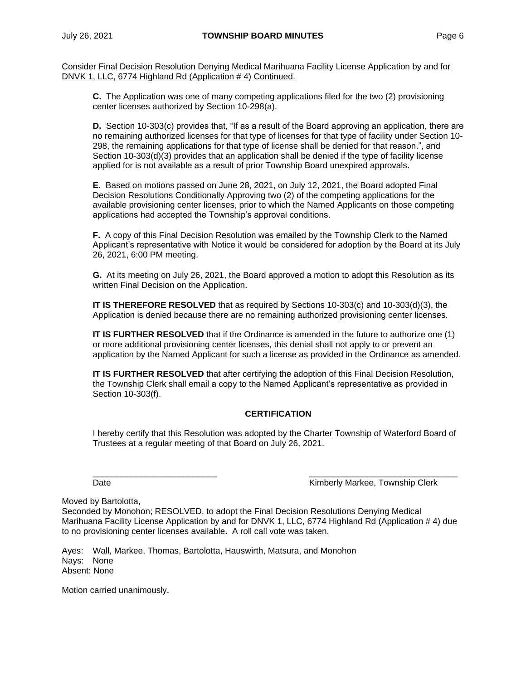Consider Final Decision Resolution Denying Medical Marihuana Facility License Application by and for DNVK 1, LLC, 6774 Highland Rd (Application # 4) Continued.

**C.** The Application was one of many competing applications filed for the two (2) provisioning center licenses authorized by Section 10-298(a).

**D.** Section 10-303(c) provides that, "If as a result of the Board approving an application, there are no remaining authorized licenses for that type of licenses for that type of facility under Section 10- 298, the remaining applications for that type of license shall be denied for that reason.", and Section 10-303(d)(3) provides that an application shall be denied if the type of facility license applied for is not available as a result of prior Township Board unexpired approvals.

**E.** Based on motions passed on June 28, 2021, on July 12, 2021, the Board adopted Final Decision Resolutions Conditionally Approving two (2) of the competing applications for the available provisioning center licenses, prior to which the Named Applicants on those competing applications had accepted the Township's approval conditions.

**F.** A copy of this Final Decision Resolution was emailed by the Township Clerk to the Named Applicant's representative with Notice it would be considered for adoption by the Board at its July 26, 2021, 6:00 PM meeting.

**G.** At its meeting on July 26, 2021, the Board approved a motion to adopt this Resolution as its written Final Decision on the Application.

**IT IS THEREFORE RESOLVED** that as required by Sections 10-303(c) and 10-303(d)(3), the Application is denied because there are no remaining authorized provisioning center licenses.

**IT IS FURTHER RESOLVED** that if the Ordinance is amended in the future to authorize one (1) or more additional provisioning center licenses, this denial shall not apply to or prevent an application by the Named Applicant for such a license as provided in the Ordinance as amended.

**IT IS FURTHER RESOLVED** that after certifying the adoption of this Final Decision Resolution, the Township Clerk shall email a copy to the Named Applicant's representative as provided in Section 10-303(f).

# **CERTIFICATION**

I hereby certify that this Resolution was adopted by the Charter Township of Waterford Board of Trustees at a regular meeting of that Board on July 26, 2021.

 $\frac{\partial}{\partial x_i}$  , and the set of the set of the set of the set of the set of the set of the set of the set of the set of the set of the set of the set of the set of the set of the set of the set of the set of the set of the Date Kimberly Markee, Township Clerk

Moved by Bartolotta,

Seconded by Monohon; RESOLVED, to adopt the Final Decision Resolutions Denying Medical Marihuana Facility License Application by and for DNVK 1, LLC, 6774 Highland Rd (Application # 4) due to no provisioning center licenses available**.** A roll call vote was taken.

Ayes: Wall, Markee, Thomas, Bartolotta, Hauswirth, Matsura, and Monohon Nays: None Absent: None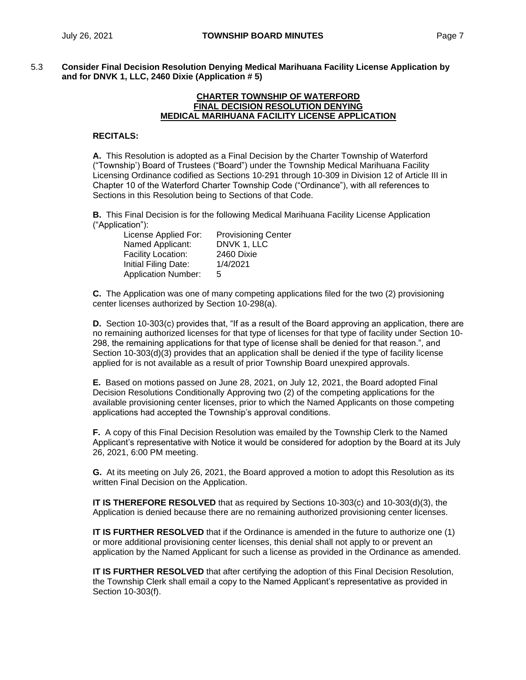5.3 **Consider Final Decision Resolution Denying Medical Marihuana Facility License Application by and for DNVK 1, LLC, 2460 Dixie (Application # 5)**

#### **CHARTER TOWNSHIP OF WATERFORD FINAL DECISION RESOLUTION DENYING MEDICAL MARIHUANA FACILITY LICENSE APPLICATION**

### **RECITALS:**

**A.** This Resolution is adopted as a Final Decision by the Charter Township of Waterford ("Township') Board of Trustees ("Board") under the Township Medical Marihuana Facility Licensing Ordinance codified as Sections 10-291 through 10-309 in Division 12 of Article III in Chapter 10 of the Waterford Charter Township Code ("Ordinance"), with all references to Sections in this Resolution being to Sections of that Code.

**B.** This Final Decision is for the following Medical Marihuana Facility License Application ("Application"):

| <b>Provisioning Center</b> |
|----------------------------|
| DNVK 1, LLC                |
| 2460 Dixie                 |
| 1/4/2021                   |
| 5                          |
|                            |

**C.** The Application was one of many competing applications filed for the two (2) provisioning center licenses authorized by Section 10-298(a).

**D.** Section 10-303(c) provides that, "If as a result of the Board approving an application, there are no remaining authorized licenses for that type of licenses for that type of facility under Section 10- 298, the remaining applications for that type of license shall be denied for that reason.", and Section 10-303(d)(3) provides that an application shall be denied if the type of facility license applied for is not available as a result of prior Township Board unexpired approvals.

**E.** Based on motions passed on June 28, 2021, on July 12, 2021, the Board adopted Final Decision Resolutions Conditionally Approving two (2) of the competing applications for the available provisioning center licenses, prior to which the Named Applicants on those competing applications had accepted the Township's approval conditions.

**F.** A copy of this Final Decision Resolution was emailed by the Township Clerk to the Named Applicant's representative with Notice it would be considered for adoption by the Board at its July 26, 2021, 6:00 PM meeting.

**G.** At its meeting on July 26, 2021, the Board approved a motion to adopt this Resolution as its written Final Decision on the Application.

**IT IS THEREFORE RESOLVED** that as required by Sections 10-303(c) and 10-303(d)(3), the Application is denied because there are no remaining authorized provisioning center licenses.

**IT IS FURTHER RESOLVED** that if the Ordinance is amended in the future to authorize one (1) or more additional provisioning center licenses, this denial shall not apply to or prevent an application by the Named Applicant for such a license as provided in the Ordinance as amended.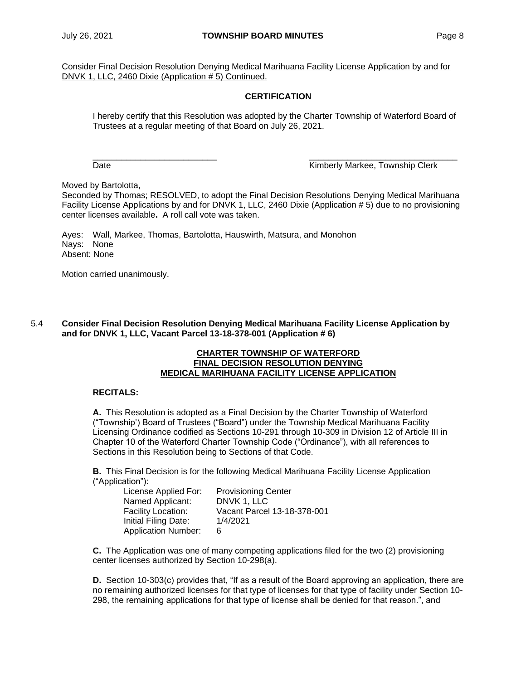Consider Final Decision Resolution Denying Medical Marihuana Facility License Application by and for DNVK 1, LLC, 2460 Dixie (Application # 5) Continued.

## **CERTIFICATION**

I hereby certify that this Resolution was adopted by the Charter Township of Waterford Board of Trustees at a regular meeting of that Board on July 26, 2021.

\_\_\_\_\_\_\_\_\_\_\_\_\_\_\_\_\_\_\_\_\_\_\_\_\_\_ \_\_\_\_\_\_\_\_\_\_\_\_\_\_\_\_\_\_\_\_\_\_\_\_\_\_\_\_\_\_\_

Date **Contract Contract Contract Contract Contract Contract Contract Contract Contract Contract Contract Contract Contract Contract Contract Contract Contract Contract Contract Contract Contract Contract Contract Contract** 

Moved by Bartolotta,

Seconded by Thomas; RESOLVED, to adopt the Final Decision Resolutions Denying Medical Marihuana Facility License Applications by and for DNVK 1, LLC, 2460 Dixie (Application # 5) due to no provisioning center licenses available**.** A roll call vote was taken.

Ayes: Wall, Markee, Thomas, Bartolotta, Hauswirth, Matsura, and Monohon Nays: None Absent: None

Motion carried unanimously.

### 5.4 **Consider Final Decision Resolution Denying Medical Marihuana Facility License Application by and for DNVK 1, LLC, Vacant Parcel 13-18-378-001 (Application # 6)**

#### **CHARTER TOWNSHIP OF WATERFORD FINAL DECISION RESOLUTION DENYING MEDICAL MARIHUANA FACILITY LICENSE APPLICATION**

### **RECITALS:**

**A.** This Resolution is adopted as a Final Decision by the Charter Township of Waterford ("Township') Board of Trustees ("Board") under the Township Medical Marihuana Facility Licensing Ordinance codified as Sections 10-291 through 10-309 in Division 12 of Article III in Chapter 10 of the Waterford Charter Township Code ("Ordinance"), with all references to Sections in this Resolution being to Sections of that Code.

**B.** This Final Decision is for the following Medical Marihuana Facility License Application ("Application"):

| License Applied For:       | <b>Provisioning Center</b>  |
|----------------------------|-----------------------------|
| Named Applicant:           | DNVK 1. LLC                 |
| Facility Location:         | Vacant Parcel 13-18-378-001 |
| Initial Filing Date:       | 1/4/2021                    |
| <b>Application Number:</b> | 6                           |

**C.** The Application was one of many competing applications filed for the two (2) provisioning center licenses authorized by Section 10-298(a).

**D.** Section 10-303(c) provides that, "If as a result of the Board approving an application, there are no remaining authorized licenses for that type of licenses for that type of facility under Section 10- 298, the remaining applications for that type of license shall be denied for that reason.", and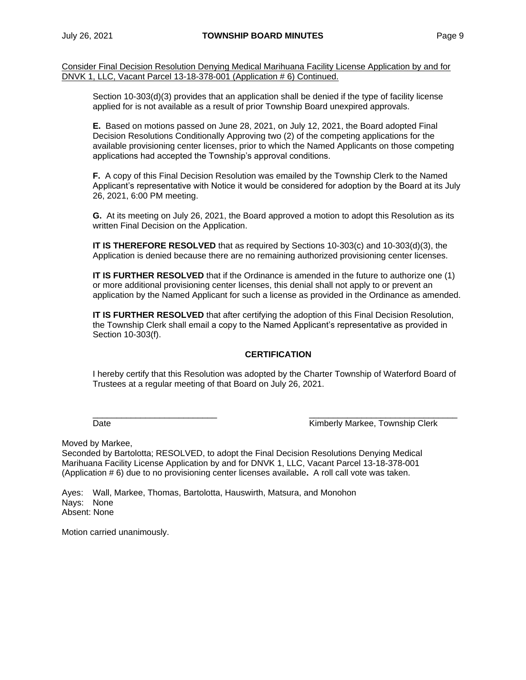Consider Final Decision Resolution Denying Medical Marihuana Facility License Application by and for DNVK 1, LLC, Vacant Parcel 13-18-378-001 (Application # 6) Continued.

Section 10-303(d)(3) provides that an application shall be denied if the type of facility license applied for is not available as a result of prior Township Board unexpired approvals.

**E.** Based on motions passed on June 28, 2021, on July 12, 2021, the Board adopted Final Decision Resolutions Conditionally Approving two (2) of the competing applications for the available provisioning center licenses, prior to which the Named Applicants on those competing applications had accepted the Township's approval conditions.

**F.** A copy of this Final Decision Resolution was emailed by the Township Clerk to the Named Applicant's representative with Notice it would be considered for adoption by the Board at its July 26, 2021, 6:00 PM meeting.

**G.** At its meeting on July 26, 2021, the Board approved a motion to adopt this Resolution as its written Final Decision on the Application.

**IT IS THEREFORE RESOLVED** that as required by Sections 10-303(c) and 10-303(d)(3), the Application is denied because there are no remaining authorized provisioning center licenses.

**IT IS FURTHER RESOLVED** that if the Ordinance is amended in the future to authorize one (1) or more additional provisioning center licenses, this denial shall not apply to or prevent an application by the Named Applicant for such a license as provided in the Ordinance as amended.

**IT IS FURTHER RESOLVED** that after certifying the adoption of this Final Decision Resolution, the Township Clerk shall email a copy to the Named Applicant's representative as provided in Section 10-303(f).

## **CERTIFICATION**

I hereby certify that this Resolution was adopted by the Charter Township of Waterford Board of Trustees at a regular meeting of that Board on July 26, 2021.

 $\frac{\partial}{\partial x_i}$  , and the set of the set of the set of the set of the set of the set of the set of the set of the set of the set of the set of the set of the set of the set of the set of the set of the set of the set of the

Date **Communist Clerk** Kimberly Markee, Township Clerk

Moved by Markee,

Seconded by Bartolotta; RESOLVED, to adopt the Final Decision Resolutions Denying Medical Marihuana Facility License Application by and for DNVK 1, LLC, Vacant Parcel 13-18-378-001 (Application # 6) due to no provisioning center licenses available**.** A roll call vote was taken.

Ayes: Wall, Markee, Thomas, Bartolotta, Hauswirth, Matsura, and Monohon Nays: None Absent: None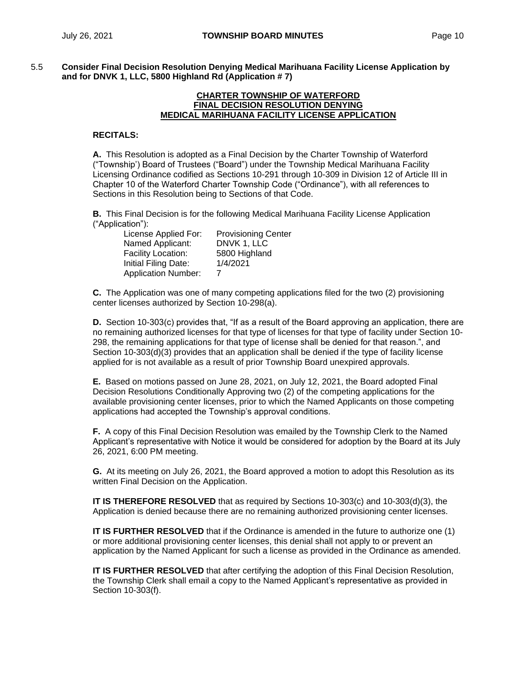5.5 **Consider Final Decision Resolution Denying Medical Marihuana Facility License Application by and for DNVK 1, LLC, 5800 Highland Rd (Application # 7)**

#### **CHARTER TOWNSHIP OF WATERFORD FINAL DECISION RESOLUTION DENYING MEDICAL MARIHUANA FACILITY LICENSE APPLICATION**

### **RECITALS:**

**A.** This Resolution is adopted as a Final Decision by the Charter Township of Waterford ("Township') Board of Trustees ("Board") under the Township Medical Marihuana Facility Licensing Ordinance codified as Sections 10-291 through 10-309 in Division 12 of Article III in Chapter 10 of the Waterford Charter Township Code ("Ordinance"), with all references to Sections in this Resolution being to Sections of that Code.

**B.** This Final Decision is for the following Medical Marihuana Facility License Application ("Application"):

| <b>Provisioning Center</b> |
|----------------------------|
| DNVK 1, LLC                |
| 5800 Highland              |
| 1/4/2021                   |
|                            |
|                            |

**C.** The Application was one of many competing applications filed for the two (2) provisioning center licenses authorized by Section 10-298(a).

**D.** Section 10-303(c) provides that, "If as a result of the Board approving an application, there are no remaining authorized licenses for that type of licenses for that type of facility under Section 10- 298, the remaining applications for that type of license shall be denied for that reason.", and Section 10-303(d)(3) provides that an application shall be denied if the type of facility license applied for is not available as a result of prior Township Board unexpired approvals.

**E.** Based on motions passed on June 28, 2021, on July 12, 2021, the Board adopted Final Decision Resolutions Conditionally Approving two (2) of the competing applications for the available provisioning center licenses, prior to which the Named Applicants on those competing applications had accepted the Township's approval conditions.

**F.** A copy of this Final Decision Resolution was emailed by the Township Clerk to the Named Applicant's representative with Notice it would be considered for adoption by the Board at its July 26, 2021, 6:00 PM meeting.

**G.** At its meeting on July 26, 2021, the Board approved a motion to adopt this Resolution as its written Final Decision on the Application.

**IT IS THEREFORE RESOLVED** that as required by Sections 10-303(c) and 10-303(d)(3), the Application is denied because there are no remaining authorized provisioning center licenses.

**IT IS FURTHER RESOLVED** that if the Ordinance is amended in the future to authorize one (1) or more additional provisioning center licenses, this denial shall not apply to or prevent an application by the Named Applicant for such a license as provided in the Ordinance as amended.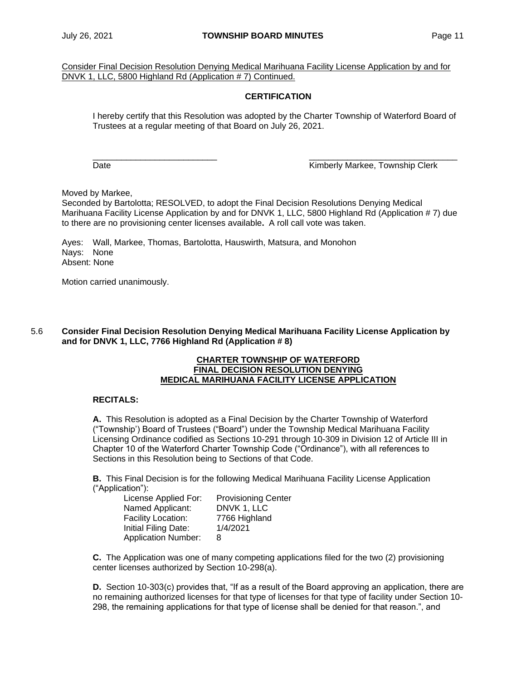Consider Final Decision Resolution Denying Medical Marihuana Facility License Application by and for DNVK 1, LLC, 5800 Highland Rd (Application # 7) Continued.

## **CERTIFICATION**

I hereby certify that this Resolution was adopted by the Charter Township of Waterford Board of Trustees at a regular meeting of that Board on July 26, 2021.

\_\_\_\_\_\_\_\_\_\_\_\_\_\_\_\_\_\_\_\_\_\_\_\_\_\_ \_\_\_\_\_\_\_\_\_\_\_\_\_\_\_\_\_\_\_\_\_\_\_\_\_\_\_\_\_\_\_

Date **Contract Contract Contract Contract Contract Contract Contract Contract Contract Contract Contract Contract Contract Contract Contract Contract Contract Contract Contract Contract Contract Contract Contract Contract** 

Moved by Markee,

Seconded by Bartolotta; RESOLVED, to adopt the Final Decision Resolutions Denying Medical Marihuana Facility License Application by and for DNVK 1, LLC, 5800 Highland Rd (Application # 7) due to there are no provisioning center licenses available**.** A roll call vote was taken.

Ayes: Wall, Markee, Thomas, Bartolotta, Hauswirth, Matsura, and Monohon Nays: None Absent: None

Motion carried unanimously.

### 5.6 **Consider Final Decision Resolution Denying Medical Marihuana Facility License Application by and for DNVK 1, LLC, 7766 Highland Rd (Application # 8)**

### **CHARTER TOWNSHIP OF WATERFORD FINAL DECISION RESOLUTION DENYING MEDICAL MARIHUANA FACILITY LICENSE APPLICATION**

## **RECITALS:**

**A.** This Resolution is adopted as a Final Decision by the Charter Township of Waterford ("Township') Board of Trustees ("Board") under the Township Medical Marihuana Facility Licensing Ordinance codified as Sections 10-291 through 10-309 in Division 12 of Article III in Chapter 10 of the Waterford Charter Township Code ("Ordinance"), with all references to Sections in this Resolution being to Sections of that Code.

**B.** This Final Decision is for the following Medical Marihuana Facility License Application ("Application"):

| License Applied For:       | <b>Provisioning Center</b> |
|----------------------------|----------------------------|
| Named Applicant:           | DNVK 1, LLC                |
| Facility Location:         | 7766 Highland              |
| Initial Filing Date:       | 1/4/2021                   |
| <b>Application Number:</b> | 8                          |

**C.** The Application was one of many competing applications filed for the two (2) provisioning center licenses authorized by Section 10-298(a).

**D.** Section 10-303(c) provides that, "If as a result of the Board approving an application, there are no remaining authorized licenses for that type of licenses for that type of facility under Section 10- 298, the remaining applications for that type of license shall be denied for that reason.", and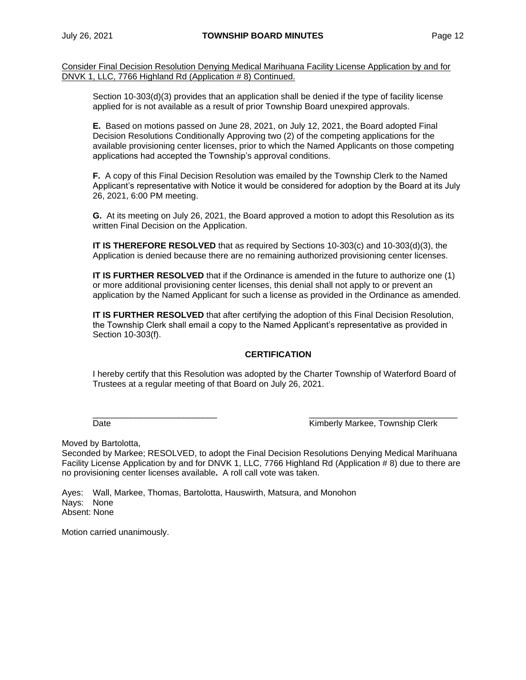Consider Final Decision Resolution Denying Medical Marihuana Facility License Application by and for DNVK 1, LLC, 7766 Highland Rd (Application # 8) Continued.

Section 10-303(d)(3) provides that an application shall be denied if the type of facility license applied for is not available as a result of prior Township Board unexpired approvals.

**E.** Based on motions passed on June 28, 2021, on July 12, 2021, the Board adopted Final Decision Resolutions Conditionally Approving two (2) of the competing applications for the available provisioning center licenses, prior to which the Named Applicants on those competing applications had accepted the Township's approval conditions.

**F.** A copy of this Final Decision Resolution was emailed by the Township Clerk to the Named Applicant's representative with Notice it would be considered for adoption by the Board at its July 26, 2021, 6:00 PM meeting.

**G.** At its meeting on July 26, 2021, the Board approved a motion to adopt this Resolution as its written Final Decision on the Application.

**IT IS THEREFORE RESOLVED** that as required by Sections 10-303(c) and 10-303(d)(3), the Application is denied because there are no remaining authorized provisioning center licenses.

**IT IS FURTHER RESOLVED** that if the Ordinance is amended in the future to authorize one (1) or more additional provisioning center licenses, this denial shall not apply to or prevent an application by the Named Applicant for such a license as provided in the Ordinance as amended.

**IT IS FURTHER RESOLVED** that after certifying the adoption of this Final Decision Resolution, the Township Clerk shall email a copy to the Named Applicant's representative as provided in Section 10-303(f).

# **CERTIFICATION**

I hereby certify that this Resolution was adopted by the Charter Township of Waterford Board of Trustees at a regular meeting of that Board on July 26, 2021.

 $\frac{\partial}{\partial x_i}$  , and the set of the set of the set of the set of the set of the set of the set of the set of the set of the set of the set of the set of the set of the set of the set of the set of the set of the set of the Date Kimberly Markee, Township Clerk

Moved by Bartolotta,

Seconded by Markee; RESOLVED, to adopt the Final Decision Resolutions Denying Medical Marihuana Facility License Application by and for DNVK 1, LLC, 7766 Highland Rd (Application # 8) due to there are no provisioning center licenses available**.** A roll call vote was taken.

Ayes: Wall, Markee, Thomas, Bartolotta, Hauswirth, Matsura, and Monohon Nays: None Absent: None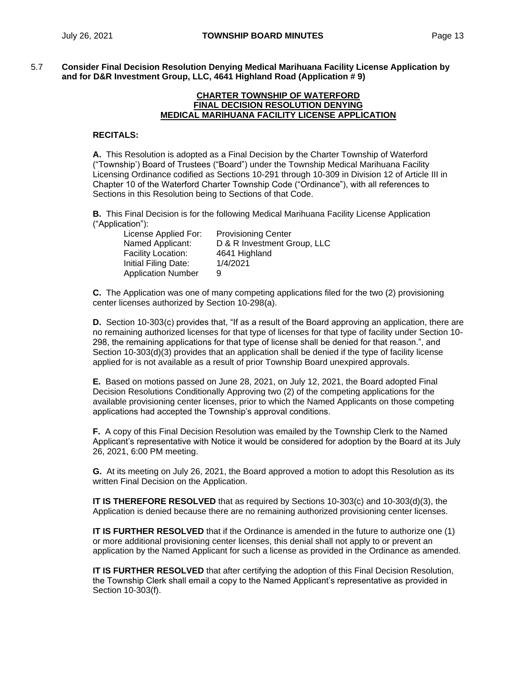5.7 **Consider Final Decision Resolution Denying Medical Marihuana Facility License Application by and for D&R Investment Group, LLC, 4641 Highland Road (Application # 9)**

#### **CHARTER TOWNSHIP OF WATERFORD FINAL DECISION RESOLUTION DENYING MEDICAL MARIHUANA FACILITY LICENSE APPLICATION**

### **RECITALS:**

**A.** This Resolution is adopted as a Final Decision by the Charter Township of Waterford ("Township') Board of Trustees ("Board") under the Township Medical Marihuana Facility Licensing Ordinance codified as Sections 10-291 through 10-309 in Division 12 of Article III in Chapter 10 of the Waterford Charter Township Code ("Ordinance"), with all references to Sections in this Resolution being to Sections of that Code.

**B.** This Final Decision is for the following Medical Marihuana Facility License Application ("Application"):

| License Applied For:      | <b>Provisioning Center</b>  |
|---------------------------|-----------------------------|
| Named Applicant:          | D & R Investment Group, LLC |
| Facility Location:        | 4641 Highland               |
| Initial Filing Date:      | 1/4/2021                    |
| <b>Application Number</b> | 9                           |

**C.** The Application was one of many competing applications filed for the two (2) provisioning center licenses authorized by Section 10-298(a).

**D.** Section 10-303(c) provides that, "If as a result of the Board approving an application, there are no remaining authorized licenses for that type of licenses for that type of facility under Section 10- 298, the remaining applications for that type of license shall be denied for that reason.", and Section 10-303(d)(3) provides that an application shall be denied if the type of facility license applied for is not available as a result of prior Township Board unexpired approvals.

**E.** Based on motions passed on June 28, 2021, on July 12, 2021, the Board adopted Final Decision Resolutions Conditionally Approving two (2) of the competing applications for the available provisioning center licenses, prior to which the Named Applicants on those competing applications had accepted the Township's approval conditions.

**F.** A copy of this Final Decision Resolution was emailed by the Township Clerk to the Named Applicant's representative with Notice it would be considered for adoption by the Board at its July 26, 2021, 6:00 PM meeting.

**G.** At its meeting on July 26, 2021, the Board approved a motion to adopt this Resolution as its written Final Decision on the Application.

**IT IS THEREFORE RESOLVED** that as required by Sections 10-303(c) and 10-303(d)(3), the Application is denied because there are no remaining authorized provisioning center licenses.

**IT IS FURTHER RESOLVED** that if the Ordinance is amended in the future to authorize one (1) or more additional provisioning center licenses, this denial shall not apply to or prevent an application by the Named Applicant for such a license as provided in the Ordinance as amended.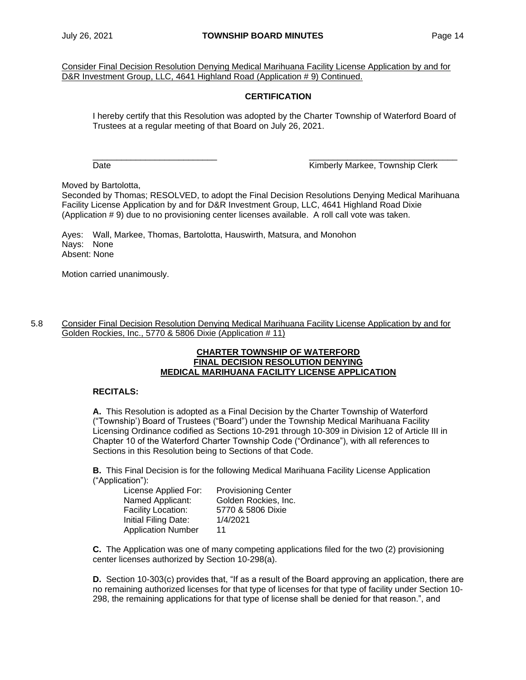Consider Final Decision Resolution Denying Medical Marihuana Facility License Application by and for D&R Investment Group, LLC, 4641 Highland Road (Application # 9) Continued.

## **CERTIFICATION**

I hereby certify that this Resolution was adopted by the Charter Township of Waterford Board of Trustees at a regular meeting of that Board on July 26, 2021.

\_\_\_\_\_\_\_\_\_\_\_\_\_\_\_\_\_\_\_\_\_\_\_\_\_\_ \_\_\_\_\_\_\_\_\_\_\_\_\_\_\_\_\_\_\_\_\_\_\_\_\_\_\_\_\_\_\_

Date **Contract Contract Contract Contract Contract Contract Contract Contract Contract Contract Contract Contract Contract Contract Contract Contract Contract Contract Contract Contract Contract Contract Contract Contract** 

Moved by Bartolotta,

Seconded by Thomas; RESOLVED, to adopt the Final Decision Resolutions Denying Medical Marihuana Facility License Application by and for D&R Investment Group, LLC, 4641 Highland Road Dixie (Application # 9) due to no provisioning center licenses available. A roll call vote was taken.

Ayes: Wall, Markee, Thomas, Bartolotta, Hauswirth, Matsura, and Monohon Nays: None Absent: None

Motion carried unanimously.

5.8 Consider Final Decision Resolution Denying Medical Marihuana Facility License Application by and for Golden Rockies, Inc., 5770 & 5806 Dixie (Application # 11)

#### **CHARTER TOWNSHIP OF WATERFORD FINAL DECISION RESOLUTION DENYING MEDICAL MARIHUANA FACILITY LICENSE APPLICATION**

### **RECITALS:**

**A.** This Resolution is adopted as a Final Decision by the Charter Township of Waterford ("Township') Board of Trustees ("Board") under the Township Medical Marihuana Facility Licensing Ordinance codified as Sections 10-291 through 10-309 in Division 12 of Article III in Chapter 10 of the Waterford Charter Township Code ("Ordinance"), with all references to Sections in this Resolution being to Sections of that Code.

**B.** This Final Decision is for the following Medical Marihuana Facility License Application ("Application"):

| License Applied For:      | <b>Provisioning Center</b> |
|---------------------------|----------------------------|
| Named Applicant:          | Golden Rockies, Inc.       |
| Facility Location:        | 5770 & 5806 Dixie          |
| Initial Filing Date:      | 1/4/2021                   |
| <b>Application Number</b> | 11                         |

**C.** The Application was one of many competing applications filed for the two (2) provisioning center licenses authorized by Section 10-298(a).

**D.** Section 10-303(c) provides that, "If as a result of the Board approving an application, there are no remaining authorized licenses for that type of licenses for that type of facility under Section 10- 298, the remaining applications for that type of license shall be denied for that reason.", and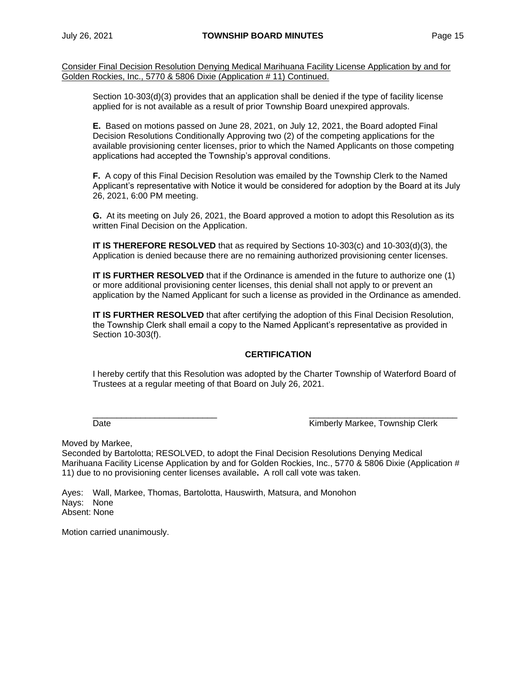Consider Final Decision Resolution Denying Medical Marihuana Facility License Application by and for Golden Rockies, Inc., 5770 & 5806 Dixie (Application # 11) Continued.

Section 10-303(d)(3) provides that an application shall be denied if the type of facility license applied for is not available as a result of prior Township Board unexpired approvals.

**E.** Based on motions passed on June 28, 2021, on July 12, 2021, the Board adopted Final Decision Resolutions Conditionally Approving two (2) of the competing applications for the available provisioning center licenses, prior to which the Named Applicants on those competing applications had accepted the Township's approval conditions.

**F.** A copy of this Final Decision Resolution was emailed by the Township Clerk to the Named Applicant's representative with Notice it would be considered for adoption by the Board at its July 26, 2021, 6:00 PM meeting.

**G.** At its meeting on July 26, 2021, the Board approved a motion to adopt this Resolution as its written Final Decision on the Application.

**IT IS THEREFORE RESOLVED** that as required by Sections 10-303(c) and 10-303(d)(3), the Application is denied because there are no remaining authorized provisioning center licenses.

**IT IS FURTHER RESOLVED** that if the Ordinance is amended in the future to authorize one (1) or more additional provisioning center licenses, this denial shall not apply to or prevent an application by the Named Applicant for such a license as provided in the Ordinance as amended.

**IT IS FURTHER RESOLVED** that after certifying the adoption of this Final Decision Resolution, the Township Clerk shall email a copy to the Named Applicant's representative as provided in Section 10-303(f).

# **CERTIFICATION**

I hereby certify that this Resolution was adopted by the Charter Township of Waterford Board of Trustees at a regular meeting of that Board on July 26, 2021.

 $\frac{\partial}{\partial x_i}$  , and the set of the set of the set of the set of the set of the set of the set of the set of the set of the set of the set of the set of the set of the set of the set of the set of the set of the set of the

Date **Communist Clerk** Kimberly Markee, Township Clerk

Moved by Markee,

Seconded by Bartolotta; RESOLVED, to adopt the Final Decision Resolutions Denying Medical Marihuana Facility License Application by and for Golden Rockies, Inc., 5770 & 5806 Dixie (Application # 11) due to no provisioning center licenses available**.** A roll call vote was taken.

Ayes: Wall, Markee, Thomas, Bartolotta, Hauswirth, Matsura, and Monohon Nays: None Absent: None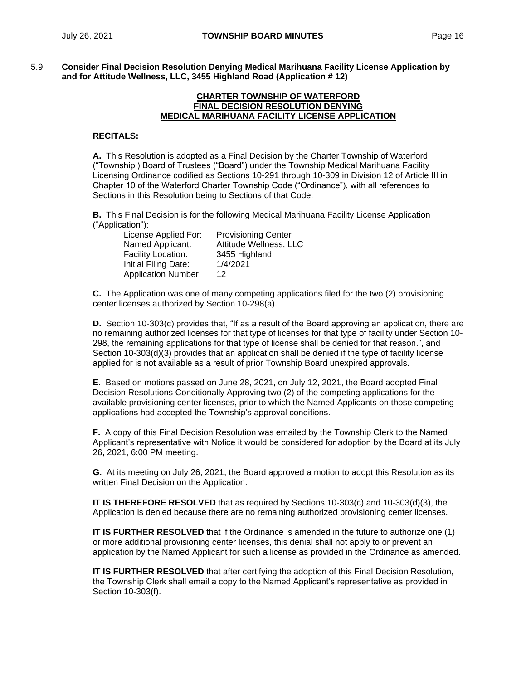5.9 **Consider Final Decision Resolution Denying Medical Marihuana Facility License Application by and for Attitude Wellness, LLC, 3455 Highland Road (Application # 12)**

#### **CHARTER TOWNSHIP OF WATERFORD FINAL DECISION RESOLUTION DENYING MEDICAL MARIHUANA FACILITY LICENSE APPLICATION**

#### **RECITALS:**

**A.** This Resolution is adopted as a Final Decision by the Charter Township of Waterford ("Township') Board of Trustees ("Board") under the Township Medical Marihuana Facility Licensing Ordinance codified as Sections 10-291 through 10-309 in Division 12 of Article III in Chapter 10 of the Waterford Charter Township Code ("Ordinance"), with all references to Sections in this Resolution being to Sections of that Code.

**B.** This Final Decision is for the following Medical Marihuana Facility License Application ("Application"):

| License Applied For:      | <b>Provisioning Center</b> |
|---------------------------|----------------------------|
| Named Applicant:          | Attitude Wellness, LLC     |
| Facility Location:        | 3455 Highland              |
| Initial Filing Date:      | 1/4/2021                   |
| <b>Application Number</b> | 12                         |

**C.** The Application was one of many competing applications filed for the two (2) provisioning center licenses authorized by Section 10-298(a).

**D.** Section 10-303(c) provides that, "If as a result of the Board approving an application, there are no remaining authorized licenses for that type of licenses for that type of facility under Section 10- 298, the remaining applications for that type of license shall be denied for that reason.", and Section 10-303(d)(3) provides that an application shall be denied if the type of facility license applied for is not available as a result of prior Township Board unexpired approvals.

**E.** Based on motions passed on June 28, 2021, on July 12, 2021, the Board adopted Final Decision Resolutions Conditionally Approving two (2) of the competing applications for the available provisioning center licenses, prior to which the Named Applicants on those competing applications had accepted the Township's approval conditions.

**F.** A copy of this Final Decision Resolution was emailed by the Township Clerk to the Named Applicant's representative with Notice it would be considered for adoption by the Board at its July 26, 2021, 6:00 PM meeting.

**G.** At its meeting on July 26, 2021, the Board approved a motion to adopt this Resolution as its written Final Decision on the Application.

**IT IS THEREFORE RESOLVED** that as required by Sections 10-303(c) and 10-303(d)(3), the Application is denied because there are no remaining authorized provisioning center licenses.

**IT IS FURTHER RESOLVED** that if the Ordinance is amended in the future to authorize one (1) or more additional provisioning center licenses, this denial shall not apply to or prevent an application by the Named Applicant for such a license as provided in the Ordinance as amended.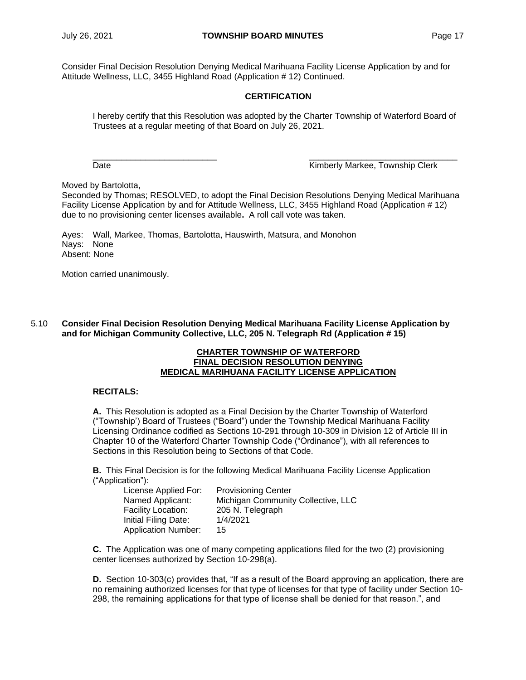Consider Final Decision Resolution Denying Medical Marihuana Facility License Application by and for Attitude Wellness, LLC, 3455 Highland Road (Application # 12) Continued.

## **CERTIFICATION**

I hereby certify that this Resolution was adopted by the Charter Township of Waterford Board of Trustees at a regular meeting of that Board on July 26, 2021.

\_\_\_\_\_\_\_\_\_\_\_\_\_\_\_\_\_\_\_\_\_\_\_\_\_\_ \_\_\_\_\_\_\_\_\_\_\_\_\_\_\_\_\_\_\_\_\_\_\_\_\_\_\_\_\_\_\_

Date **Contract Contract Contract Contract Contract Contract Contract Contract Contract Contract Contract Contract Contract Contract Contract Contract Contract Contract Contract Contract Contract Contract Contract Contract** 

Moved by Bartolotta,

Seconded by Thomas; RESOLVED, to adopt the Final Decision Resolutions Denying Medical Marihuana Facility License Application by and for Attitude Wellness, LLC, 3455 Highland Road (Application # 12) due to no provisioning center licenses available**.** A roll call vote was taken.

Ayes: Wall, Markee, Thomas, Bartolotta, Hauswirth, Matsura, and Monohon Nays: None Absent: None

Motion carried unanimously.

5.10 **Consider Final Decision Resolution Denying Medical Marihuana Facility License Application by and for Michigan Community Collective, LLC, 205 N. Telegraph Rd (Application # 15)**

#### **CHARTER TOWNSHIP OF WATERFORD FINAL DECISION RESOLUTION DENYING MEDICAL MARIHUANA FACILITY LICENSE APPLICATION**

### **RECITALS:**

**A.** This Resolution is adopted as a Final Decision by the Charter Township of Waterford ("Township') Board of Trustees ("Board") under the Township Medical Marihuana Facility Licensing Ordinance codified as Sections 10-291 through 10-309 in Division 12 of Article III in Chapter 10 of the Waterford Charter Township Code ("Ordinance"), with all references to Sections in this Resolution being to Sections of that Code.

**B.** This Final Decision is for the following Medical Marihuana Facility License Application ("Application"):

| License Applied For:       | <b>Provisioning Center</b>         |
|----------------------------|------------------------------------|
| Named Applicant:           | Michigan Community Collective, LLC |
| <b>Facility Location:</b>  | 205 N. Telegraph                   |
| Initial Filing Date:       | 1/4/2021                           |
| <b>Application Number:</b> | 15                                 |

**C.** The Application was one of many competing applications filed for the two (2) provisioning center licenses authorized by Section 10-298(a).

**D.** Section 10-303(c) provides that, "If as a result of the Board approving an application, there are no remaining authorized licenses for that type of licenses for that type of facility under Section 10- 298, the remaining applications for that type of license shall be denied for that reason.", and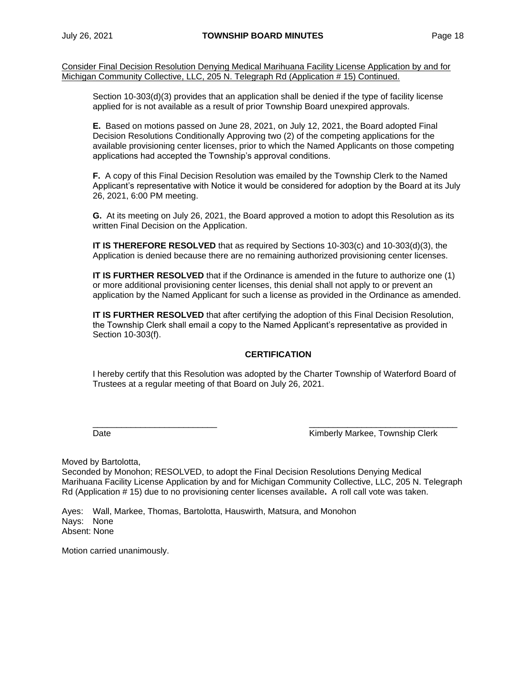Consider Final Decision Resolution Denying Medical Marihuana Facility License Application by and for Michigan Community Collective, LLC, 205 N. Telegraph Rd (Application # 15) Continued.

Section 10-303(d)(3) provides that an application shall be denied if the type of facility license applied for is not available as a result of prior Township Board unexpired approvals.

**E.** Based on motions passed on June 28, 2021, on July 12, 2021, the Board adopted Final Decision Resolutions Conditionally Approving two (2) of the competing applications for the available provisioning center licenses, prior to which the Named Applicants on those competing applications had accepted the Township's approval conditions.

**F.** A copy of this Final Decision Resolution was emailed by the Township Clerk to the Named Applicant's representative with Notice it would be considered for adoption by the Board at its July 26, 2021, 6:00 PM meeting.

**G.** At its meeting on July 26, 2021, the Board approved a motion to adopt this Resolution as its written Final Decision on the Application.

**IT IS THEREFORE RESOLVED** that as required by Sections 10-303(c) and 10-303(d)(3), the Application is denied because there are no remaining authorized provisioning center licenses.

**IT IS FURTHER RESOLVED** that if the Ordinance is amended in the future to authorize one (1) or more additional provisioning center licenses, this denial shall not apply to or prevent an application by the Named Applicant for such a license as provided in the Ordinance as amended.

**IT IS FURTHER RESOLVED** that after certifying the adoption of this Final Decision Resolution, the Township Clerk shall email a copy to the Named Applicant's representative as provided in Section 10-303(f).

# **CERTIFICATION**

I hereby certify that this Resolution was adopted by the Charter Township of Waterford Board of Trustees at a regular meeting of that Board on July 26, 2021.

\_\_\_\_\_\_\_\_\_\_\_\_\_\_\_\_\_\_\_\_\_\_\_\_\_\_ \_\_\_\_\_\_\_\_\_\_\_\_\_\_\_\_\_\_\_\_\_\_\_\_\_\_\_\_\_\_\_

Date **Communist Clerk** Kimberly Markee, Township Clerk

Moved by Bartolotta,

Seconded by Monohon; RESOLVED, to adopt the Final Decision Resolutions Denying Medical Marihuana Facility License Application by and for Michigan Community Collective, LLC, 205 N. Telegraph Rd (Application # 15) due to no provisioning center licenses available**.** A roll call vote was taken.

Ayes: Wall, Markee, Thomas, Bartolotta, Hauswirth, Matsura, and Monohon Nays: None Absent: None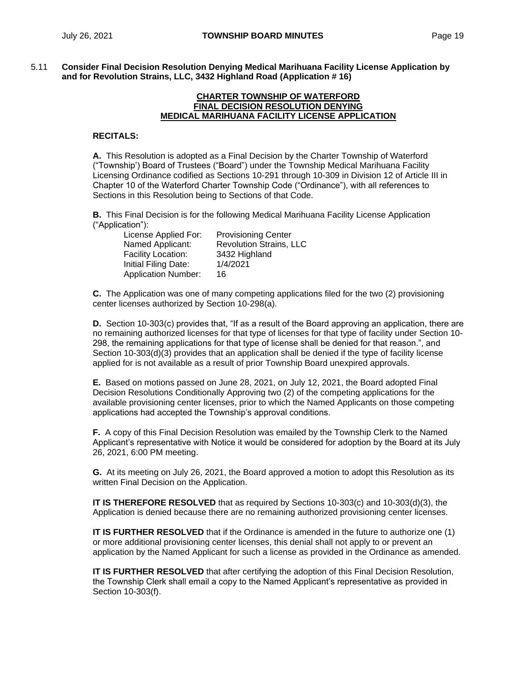5.11 **Consider Final Decision Resolution Denying Medical Marihuana Facility License Application by and for Revolution Strains, LLC, 3432 Highland Road (Application # 16)**

#### **CHARTER TOWNSHIP OF WATERFORD FINAL DECISION RESOLUTION DENYING MEDICAL MARIHUANA FACILITY LICENSE APPLICATION**

### **RECITALS:**

**A.** This Resolution is adopted as a Final Decision by the Charter Township of Waterford ("Township') Board of Trustees ("Board") under the Township Medical Marihuana Facility Licensing Ordinance codified as Sections 10-291 through 10-309 in Division 12 of Article III in Chapter 10 of the Waterford Charter Township Code ("Ordinance"), with all references to Sections in this Resolution being to Sections of that Code.

**B.** This Final Decision is for the following Medical Marihuana Facility License Application ("Application"):

| License Applied For:       | <b>Provisioning Center</b>     |
|----------------------------|--------------------------------|
| Named Applicant:           | <b>Revolution Strains, LLC</b> |
| Facility Location:         | 3432 Highland                  |
| Initial Filing Date:       | 1/4/2021                       |
| <b>Application Number:</b> | 16                             |

**C.** The Application was one of many competing applications filed for the two (2) provisioning center licenses authorized by Section 10-298(a).

**D.** Section 10-303(c) provides that, "If as a result of the Board approving an application, there are no remaining authorized licenses for that type of licenses for that type of facility under Section 10- 298, the remaining applications for that type of license shall be denied for that reason.", and Section 10-303(d)(3) provides that an application shall be denied if the type of facility license applied for is not available as a result of prior Township Board unexpired approvals.

**E.** Based on motions passed on June 28, 2021, on July 12, 2021, the Board adopted Final Decision Resolutions Conditionally Approving two (2) of the competing applications for the available provisioning center licenses, prior to which the Named Applicants on those competing applications had accepted the Township's approval conditions.

**F.** A copy of this Final Decision Resolution was emailed by the Township Clerk to the Named Applicant's representative with Notice it would be considered for adoption by the Board at its July 26, 2021, 6:00 PM meeting.

**G.** At its meeting on July 26, 2021, the Board approved a motion to adopt this Resolution as its written Final Decision on the Application.

**IT IS THEREFORE RESOLVED** that as required by Sections 10-303(c) and 10-303(d)(3), the Application is denied because there are no remaining authorized provisioning center licenses.

**IT IS FURTHER RESOLVED** that if the Ordinance is amended in the future to authorize one (1) or more additional provisioning center licenses, this denial shall not apply to or prevent an application by the Named Applicant for such a license as provided in the Ordinance as amended.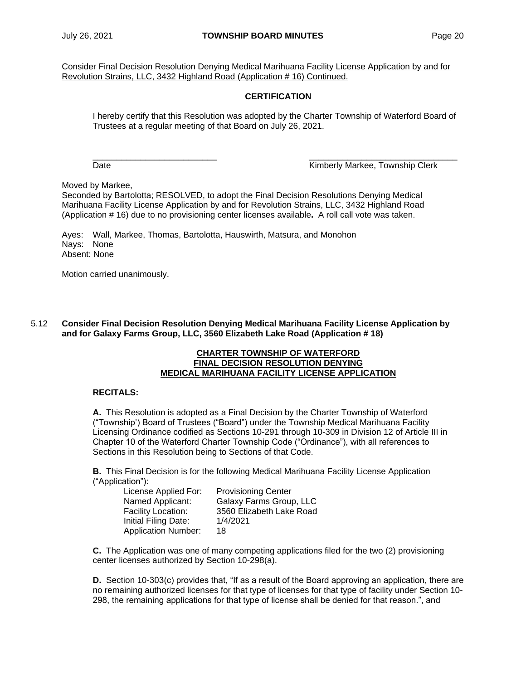Consider Final Decision Resolution Denying Medical Marihuana Facility License Application by and for Revolution Strains, LLC, 3432 Highland Road (Application # 16) Continued.

## **CERTIFICATION**

I hereby certify that this Resolution was adopted by the Charter Township of Waterford Board of Trustees at a regular meeting of that Board on July 26, 2021.

\_\_\_\_\_\_\_\_\_\_\_\_\_\_\_\_\_\_\_\_\_\_\_\_\_\_ \_\_\_\_\_\_\_\_\_\_\_\_\_\_\_\_\_\_\_\_\_\_\_\_\_\_\_\_\_\_\_ Date **Contract Contract Contract Contract Contract Contract Contract Contract Contract Contract Contract Contract Contract Contract Contract Contract Contract Contract Contract Contract Contract Contract Contract Contract** 

Moved by Markee,

Seconded by Bartolotta; RESOLVED, to adopt the Final Decision Resolutions Denying Medical Marihuana Facility License Application by and for Revolution Strains, LLC, 3432 Highland Road (Application # 16) due to no provisioning center licenses available**.** A roll call vote was taken.

Ayes: Wall, Markee, Thomas, Bartolotta, Hauswirth, Matsura, and Monohon Nays: None Absent: None

Motion carried unanimously.

5.12 **Consider Final Decision Resolution Denying Medical Marihuana Facility License Application by and for Galaxy Farms Group, LLC, 3560 Elizabeth Lake Road (Application # 18)**

#### **CHARTER TOWNSHIP OF WATERFORD FINAL DECISION RESOLUTION DENYING MEDICAL MARIHUANA FACILITY LICENSE APPLICATION**

### **RECITALS:**

**A.** This Resolution is adopted as a Final Decision by the Charter Township of Waterford ("Township') Board of Trustees ("Board") under the Township Medical Marihuana Facility Licensing Ordinance codified as Sections 10-291 through 10-309 in Division 12 of Article III in Chapter 10 of the Waterford Charter Township Code ("Ordinance"), with all references to Sections in this Resolution being to Sections of that Code.

**B.** This Final Decision is for the following Medical Marihuana Facility License Application ("Application"):

| License Applied For:       | <b>Provisioning Center</b> |
|----------------------------|----------------------------|
| Named Applicant:           | Galaxy Farms Group, LLC    |
| Facility Location:         | 3560 Elizabeth Lake Road   |
| Initial Filing Date:       | 1/4/2021                   |
| <b>Application Number:</b> | 18                         |

**C.** The Application was one of many competing applications filed for the two (2) provisioning center licenses authorized by Section 10-298(a).

**D.** Section 10-303(c) provides that, "If as a result of the Board approving an application, there are no remaining authorized licenses for that type of licenses for that type of facility under Section 10- 298, the remaining applications for that type of license shall be denied for that reason.", and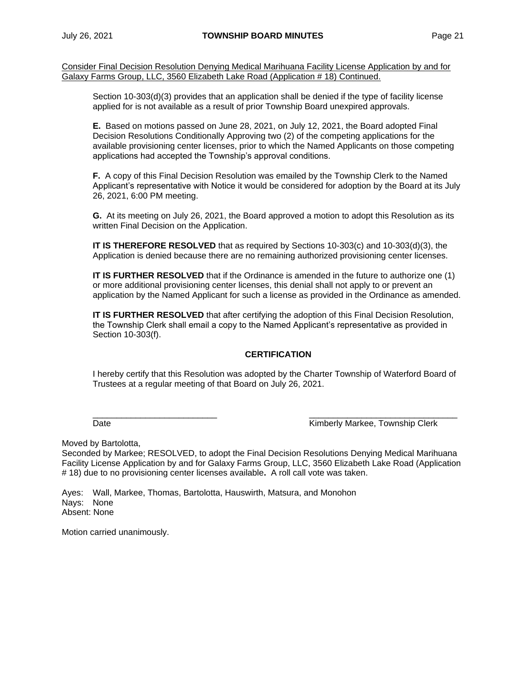Consider Final Decision Resolution Denying Medical Marihuana Facility License Application by and for Galaxy Farms Group, LLC, 3560 Elizabeth Lake Road (Application # 18) Continued.

Section 10-303(d)(3) provides that an application shall be denied if the type of facility license applied for is not available as a result of prior Township Board unexpired approvals.

**E.** Based on motions passed on June 28, 2021, on July 12, 2021, the Board adopted Final Decision Resolutions Conditionally Approving two (2) of the competing applications for the available provisioning center licenses, prior to which the Named Applicants on those competing applications had accepted the Township's approval conditions.

**F.** A copy of this Final Decision Resolution was emailed by the Township Clerk to the Named Applicant's representative with Notice it would be considered for adoption by the Board at its July 26, 2021, 6:00 PM meeting.

**G.** At its meeting on July 26, 2021, the Board approved a motion to adopt this Resolution as its written Final Decision on the Application.

**IT IS THEREFORE RESOLVED** that as required by Sections 10-303(c) and 10-303(d)(3), the Application is denied because there are no remaining authorized provisioning center licenses.

**IT IS FURTHER RESOLVED** that if the Ordinance is amended in the future to authorize one (1) or more additional provisioning center licenses, this denial shall not apply to or prevent an application by the Named Applicant for such a license as provided in the Ordinance as amended.

**IT IS FURTHER RESOLVED** that after certifying the adoption of this Final Decision Resolution, the Township Clerk shall email a copy to the Named Applicant's representative as provided in Section 10-303(f).

## **CERTIFICATION**

I hereby certify that this Resolution was adopted by the Charter Township of Waterford Board of Trustees at a regular meeting of that Board on July 26, 2021.

 $\frac{\partial}{\partial x_i}$  , and the set of the set of the set of the set of the set of the set of the set of the set of the set of the set of the set of the set of the set of the set of the set of the set of the set of the set of the Date Kimberly Markee, Township Clerk

Moved by Bartolotta,

Seconded by Markee; RESOLVED, to adopt the Final Decision Resolutions Denying Medical Marihuana Facility License Application by and for Galaxy Farms Group, LLC, 3560 Elizabeth Lake Road (Application # 18) due to no provisioning center licenses available**.** A roll call vote was taken.

Ayes: Wall, Markee, Thomas, Bartolotta, Hauswirth, Matsura, and Monohon Nays: None Absent: None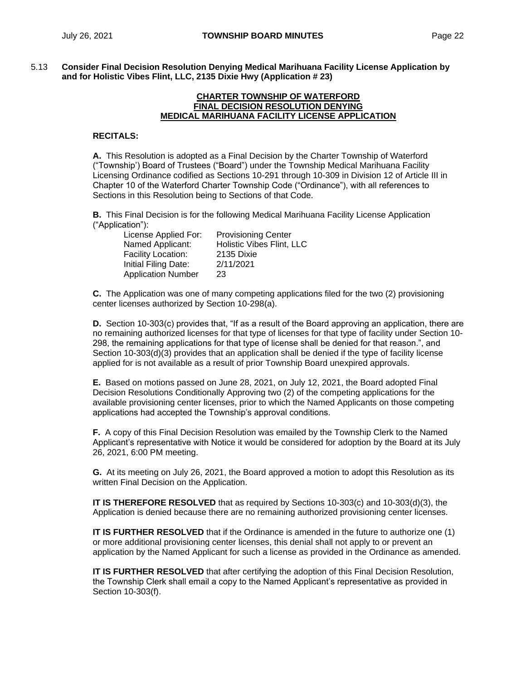5.13 **Consider Final Decision Resolution Denying Medical Marihuana Facility License Application by and for Holistic Vibes Flint, LLC, 2135 Dixie Hwy (Application # 23)**

#### **CHARTER TOWNSHIP OF WATERFORD FINAL DECISION RESOLUTION DENYING MEDICAL MARIHUANA FACILITY LICENSE APPLICATION**

#### **RECITALS:**

**A.** This Resolution is adopted as a Final Decision by the Charter Township of Waterford ("Township') Board of Trustees ("Board") under the Township Medical Marihuana Facility Licensing Ordinance codified as Sections 10-291 through 10-309 in Division 12 of Article III in Chapter 10 of the Waterford Charter Township Code ("Ordinance"), with all references to Sections in this Resolution being to Sections of that Code.

**B.** This Final Decision is for the following Medical Marihuana Facility License Application ("Application"):

| License Applied For:      | <b>Provisioning Center</b> |
|---------------------------|----------------------------|
| Named Applicant:          | Holistic Vibes Flint, LLC  |
| Facility Location:        | 2135 Dixie                 |
| Initial Filing Date:      | 2/11/2021                  |
| <b>Application Number</b> | 23                         |

**C.** The Application was one of many competing applications filed for the two (2) provisioning center licenses authorized by Section 10-298(a).

**D.** Section 10-303(c) provides that, "If as a result of the Board approving an application, there are no remaining authorized licenses for that type of licenses for that type of facility under Section 10- 298, the remaining applications for that type of license shall be denied for that reason.", and Section 10-303(d)(3) provides that an application shall be denied if the type of facility license applied for is not available as a result of prior Township Board unexpired approvals.

**E.** Based on motions passed on June 28, 2021, on July 12, 2021, the Board adopted Final Decision Resolutions Conditionally Approving two (2) of the competing applications for the available provisioning center licenses, prior to which the Named Applicants on those competing applications had accepted the Township's approval conditions.

**F.** A copy of this Final Decision Resolution was emailed by the Township Clerk to the Named Applicant's representative with Notice it would be considered for adoption by the Board at its July 26, 2021, 6:00 PM meeting.

**G.** At its meeting on July 26, 2021, the Board approved a motion to adopt this Resolution as its written Final Decision on the Application.

**IT IS THEREFORE RESOLVED** that as required by Sections 10-303(c) and 10-303(d)(3), the Application is denied because there are no remaining authorized provisioning center licenses.

**IT IS FURTHER RESOLVED** that if the Ordinance is amended in the future to authorize one (1) or more additional provisioning center licenses, this denial shall not apply to or prevent an application by the Named Applicant for such a license as provided in the Ordinance as amended.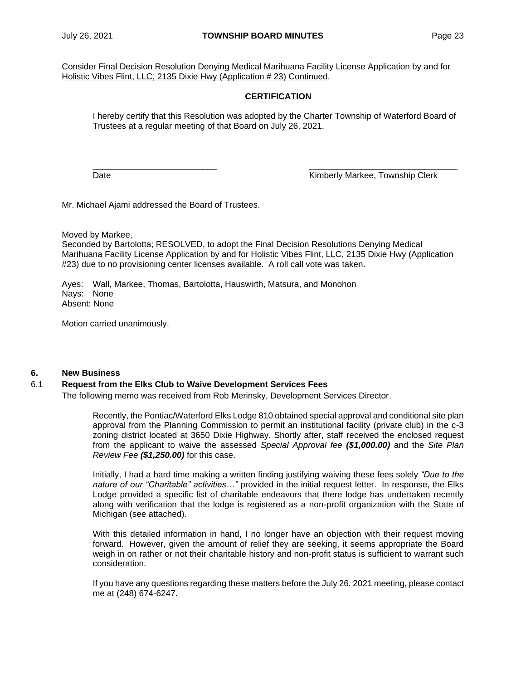Consider Final Decision Resolution Denying Medical Marihuana Facility License Application by and for Holistic Vibes Flint, LLC, 2135 Dixie Hwy (Application # 23) Continued.

## **CERTIFICATION**

I hereby certify that this Resolution was adopted by the Charter Township of Waterford Board of Trustees at a regular meeting of that Board on July 26, 2021.

 $\frac{\partial}{\partial x_i}$  , and the set of the set of the set of the set of the set of the set of the set of the set of the set of the set of the set of the set of the set of the set of the set of the set of the set of the set of the

Date **Contract Contract Contract Contract Contract Contract Contract Contract Contract Contract Contract Contract Contract Contract Contract Contract Contract Contract Contract Contract Contract Contract Contract Contract** 

Mr. Michael Ajami addressed the Board of Trustees.

Moved by Markee,

Seconded by Bartolotta; RESOLVED, to adopt the Final Decision Resolutions Denying Medical Marihuana Facility License Application by and for Holistic Vibes Flint, LLC, 2135 Dixie Hwy (Application #23) due to no provisioning center licenses available.A roll call vote was taken.

Ayes: Wall, Markee, Thomas, Bartolotta, Hauswirth, Matsura, and Monohon Nays: None Absent: None

Motion carried unanimously.

### **6. New Business**

### 6.1 **Request from the Elks Club to Waive Development Services Fees**

The following memo was received from Rob Merinsky, Development Services Director.

Recently, the Pontiac/Waterford Elks Lodge 810 obtained special approval and conditional site plan approval from the Planning Commission to permit an institutional facility (private club) in the c-3 zoning district located at 3650 Dixie Highway. Shortly after, staff received the enclosed request from the applicant to waive the assessed *Special Approval fee (\$1,000.00)* and the *Site Plan Review Fee (\$1,250.00)* for this case.

Initially, I had a hard time making a written finding justifying waiving these fees solely *"Due to the nature of our "Charitable" activities…"* provided in the initial request letter. In response, the Elks Lodge provided a specific list of charitable endeavors that there lodge has undertaken recently along with verification that the lodge is registered as a non-profit organization with the State of Michigan (see attached).

With this detailed information in hand, I no longer have an objection with their request moving forward. However, given the amount of relief they are seeking, it seems appropriate the Board weigh in on rather or not their charitable history and non-profit status is sufficient to warrant such consideration.

If you have any questions regarding these matters before the July 26, 2021 meeting, please contact me at (248) 674-6247.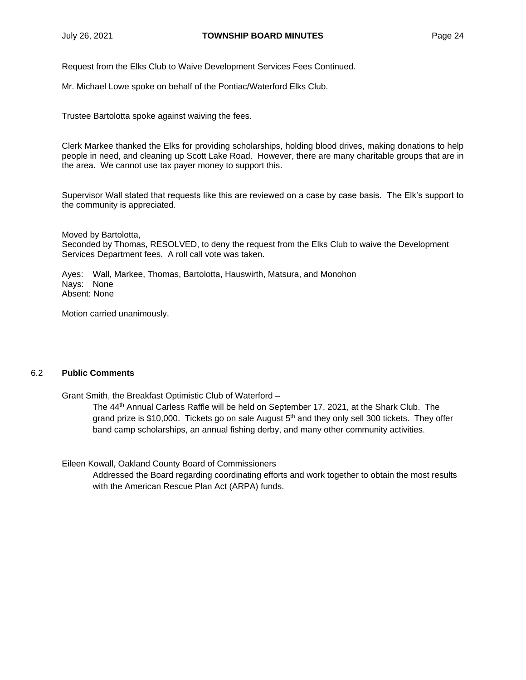Request from the Elks Club to Waive Development Services Fees Continued.

Mr. Michael Lowe spoke on behalf of the Pontiac/Waterford Elks Club.

Trustee Bartolotta spoke against waiving the fees.

Clerk Markee thanked the Elks for providing scholarships, holding blood drives, making donations to help people in need, and cleaning up Scott Lake Road. However, there are many charitable groups that are in the area. We cannot use tax payer money to support this.

Supervisor Wall stated that requests like this are reviewed on a case by case basis. The Elk's support to the community is appreciated.

Moved by Bartolotta, Seconded by Thomas, RESOLVED, to deny the request from the Elks Club to waive the Development Services Department fees. A roll call vote was taken.

Ayes: Wall, Markee, Thomas, Bartolotta, Hauswirth, Matsura, and Monohon Nays: None Absent: None

Motion carried unanimously.

### 6.2 **Public Comments**

Grant Smith, the Breakfast Optimistic Club of Waterford –

The 44th Annual Carless Raffle will be held on September 17, 2021, at the Shark Club. The grand prize is \$10,000. Tickets go on sale August  $5<sup>th</sup>$  and they only sell 300 tickets. They offer band camp scholarships, an annual fishing derby, and many other community activities.

Eileen Kowall, Oakland County Board of Commissioners

Addressed the Board regarding coordinating efforts and work together to obtain the most results with the American Rescue Plan Act (ARPA) funds.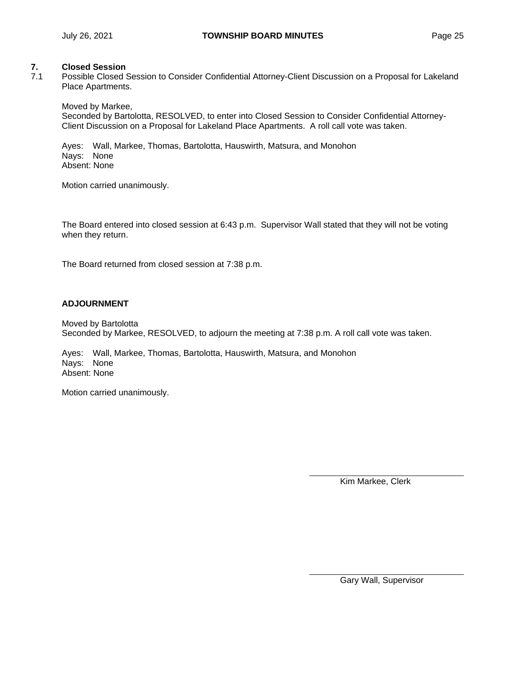### **7. Closed Session**

7.1 Possible Closed Session to Consider Confidential Attorney-Client Discussion on a Proposal for Lakeland Place Apartments.

Moved by Markee,

Seconded by Bartolotta, RESOLVED, to enter into Closed Session to Consider Confidential Attorney-Client Discussion on a Proposal for Lakeland Place Apartments. A roll call vote was taken.

Ayes: Wall, Markee, Thomas, Bartolotta, Hauswirth, Matsura, and Monohon Nays: None Absent: None

Motion carried unanimously.

The Board entered into closed session at 6:43 p.m. Supervisor Wall stated that they will not be voting when they return.

The Board returned from closed session at 7:38 p.m.

### **ADJOURNMENT**

Moved by Bartolotta Seconded by Markee, RESOLVED, to adjourn the meeting at 7:38 p.m. A roll call vote was taken.

Ayes: Wall, Markee, Thomas, Bartolotta, Hauswirth, Matsura, and Monohon Nays: None Absent: None

Motion carried unanimously.

Kim Markee, Clerk

Gary Wall, Supervisor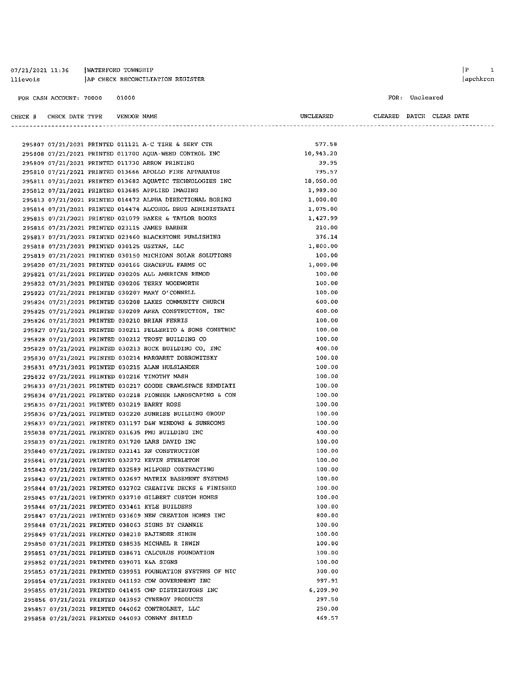#### 07/21/2021 11:36 | WATERFORD TOWNSHIP 11ievois | AP CHECK RECONCILIATION REGISTER

FOR CASH ACCOUNT: 70000 01000

 $\begin{array}{ccc} \mid \texttt{P} & \texttt{1} \end{array}$  $|apchkrcn$ 

#### FOR: Uncleared

| CHECK # CHECK DATE TYPE    VENDOR NAME     |  |                                                                                                                     | UNCLEARED            | CLEARED BATCH CLEAR DATE |  |
|--------------------------------------------|--|---------------------------------------------------------------------------------------------------------------------|----------------------|--------------------------|--|
|                                            |  |                                                                                                                     |                      |                          |  |
|                                            |  | 295807 07/21/2021 PRINTED 011121 A-C TIRE & SERV CTR                                                                | 577.58               |                          |  |
|                                            |  | 295808 07/21/2021 PRINTED 011700 AQUA-WEED CONTROL INC                                                              | 10,943.20            |                          |  |
|                                            |  | 295809 07/21/2021 PRINTED 011730 ARROW PRINTING                                                                     | 39.95                |                          |  |
|                                            |  | 295810 07/21/2021 PRINTED 013666 APOLLO FIRE APPARATUS                                                              | 795.57               |                          |  |
|                                            |  | 295811 07/21/2021 PRINTED 013682 AQUATIC TECHNOLOGIES INC                                                           | 18,050.00            |                          |  |
|                                            |  | 295812 07/21/2021 PRINTED 013685 APPLIED IMAGING                                                                    | 1,989.00             |                          |  |
|                                            |  |                                                                                                                     | 1,000.00             |                          |  |
|                                            |  | 295813 07/21/2021 PRINTED 014472 ALPHA DIRECTIONAL BORING                                                           |                      |                          |  |
|                                            |  | 295814 07/21/2021 PRINTED 014474 ALCOHOL DRUG ADMINISTRATI<br>295815 07/21/2021 PRINTED 021079 BAKER & TAYLOR BOOKS | 1,075.00<br>1,427.99 |                          |  |
|                                            |  |                                                                                                                     | 210.00               |                          |  |
|                                            |  | 295816 07/21/2021 PRINTED 023115 JAMES BARBER                                                                       | 376.14               |                          |  |
|                                            |  | 295817 07/21/2021 PRINTED 023460 BLACKSTONE PUBLISHING                                                              | 1,800.00             |                          |  |
|                                            |  | 295818 07/21/2021 PRINTED 030125 USZTAN, LLC                                                                        |                      |                          |  |
|                                            |  | 295819 07/21/2021 PRINTED 030150 MICHIGAN SOLAR SOLUTIONS                                                           | 100.00               |                          |  |
|                                            |  | 295820 07/21/2021 PRINTED 030166 GRACEFUL FARMS GC                                                                  | 1,000.00             |                          |  |
|                                            |  | 295821 07/21/2021 PRINTED 030205 ALL AMERICAN REMOD                                                                 | 100.00               |                          |  |
|                                            |  | 295822 07/21/2021 PRINTED 030206 TERRY WOODWORTH                                                                    | 100.00               |                          |  |
|                                            |  | 295823 07/21/2021 PRINTED 030207 MARY O'CONNELL                                                                     | 100.00               |                          |  |
|                                            |  | 295824 07/21/2021 PRINTED 030208 LAKES COMMUNITY CHURCH                                                             | 600.00               |                          |  |
|                                            |  | 295825 07/21/2021 PRINTED 030209 AREA CONSTRUCTION, INC                                                             | 600.00               |                          |  |
|                                            |  | 295826 07/21/2021 PRINTED 030210 BRIAN FERRIS                                                                       | 100.00               |                          |  |
|                                            |  | 295827 07/21/2021 PRINTED 030211 PELLERITO & SONS CONSTRUC                                                          | 100.00               |                          |  |
|                                            |  | 295828 07/21/2021 PRINTED 030212 TROST BUILDING CO                                                                  | 100.00               |                          |  |
|                                            |  | 295829 07/21/2021 PRINTED 030213 ROCK BUILDING CO, INC                                                              | 400.00               |                          |  |
|                                            |  | 295830 07/21/2021 PRINTED 030214 MARGARET DOBROWITSKY                                                               | 100.00               |                          |  |
|                                            |  | 295831 07/21/2021 PRINTED 030215 ALAN HULSLANDER                                                                    | 100.00               |                          |  |
|                                            |  | 295832 07/21/2021 PRINTED 030216 TIMOTHY MASH                                                                       | 100.00               |                          |  |
|                                            |  | 295833 07/21/2021 PRINTED 030217 GOODE CRAWLSPACE REMDIATI                                                          | 100.00               |                          |  |
|                                            |  | 295834 07/21/2021 PRINTED 030218 PIONEER LANDSCAPING & CON                                                          | 100.00               |                          |  |
|                                            |  | 295835 07/21/2021 PRINTED 030219 BARRY ROSS                                                                         | 100.00               |                          |  |
|                                            |  | 295836 07/21/2021 PRINTED 030220 SUNRISE BUILDING GROUP                                                             | 100.00               |                          |  |
|                                            |  | 295837 07/21/2021 PRINTED 031197 D&W WINDOWS & SUNROOMS                                                             | 100.00               |                          |  |
|                                            |  | 295838 07/21/2021 PRINTED 031635 PMG BUILDING INC                                                                   | 400.00               |                          |  |
|                                            |  | 295839 07/21/2021 PRINTED 031720 LARS DAVID INC                                                                     | 100.00               |                          |  |
|                                            |  | 295840 07/21/2021 PRINTED 032141 RN CONSTRUCTION                                                                    | 100.00               |                          |  |
|                                            |  | 295841 07/21/2021 PRINTED 032272 KEVIN STEBLETON                                                                    | 100.00               |                          |  |
|                                            |  | 295842 07/21/2021 PRINTED 032589 MILFORD CONTRACTING                                                                | 100.00               |                          |  |
|                                            |  | 295843 07/21/2021 PRINTED 032697 MATRIX BASEMENT SYSTEMS                                                            | 100.00               |                          |  |
|                                            |  | 295844 07/21/2021 PRINTED 032702 CREATIVE DECKS & FINISHED                                                          | 100.00               |                          |  |
|                                            |  | 295845 07/21/2021 PRINTED 032710 GILBERT CUSTOM HOMES                                                               | 100.00               |                          |  |
|                                            |  | 295846 07/21/2021 PRINTED 033461 KYLE BUILDERS                                                                      | 100.00               |                          |  |
|                                            |  | 295847 07/21/2021 PRINTED 033609 NEW CREATION HOMES INC                                                             | 800.00               |                          |  |
|                                            |  | 295848 07/21/2021 PRINTED 038063 SIGNS BY CRANNIE                                                                   | 100.00               |                          |  |
|                                            |  | 295849 07/21/2021 PRINTED 038210 RAJINDER SINGH                                                                     | 100.00               |                          |  |
|                                            |  | 295850 07/21/2021 PRINTED 038535 MICHAEL R IRWIN                                                                    | 100.00               |                          |  |
|                                            |  | 295851 07/21/2021 PRINTED 038671 CALCULUS FOUNDATION                                                                | 100.00               |                          |  |
| 295852 07/21/2021 PRINTED 039071 K&A SIGNS |  |                                                                                                                     | 100.00               |                          |  |
|                                            |  | 295853 07/21/2021 PRINTED 039951 FOUNDATION SYSTEMS OF MIC                                                          | 300.00               |                          |  |
|                                            |  | 295854 07/21/2021 PRINTED 041192 CDW GOVERNMENT INC                                                                 | 997.91               |                          |  |
|                                            |  | 295855 07/21/2021 PRINTED 041495 CMP DISTRIBUTORS INC                                                               | 6,209.90             |                          |  |
|                                            |  | 295856 07/21/2021 PRINTED 043952 CYNERGY PRODUCTS                                                                   | 297.50               |                          |  |
|                                            |  | 295857 07/21/2021 PRINTED 044062 CONTROLNET, LLC                                                                    | 250.00               |                          |  |
|                                            |  | 295858 07/21/2021 PRINTED 044093 CONWAY SHIELD                                                                      | 469.57               |                          |  |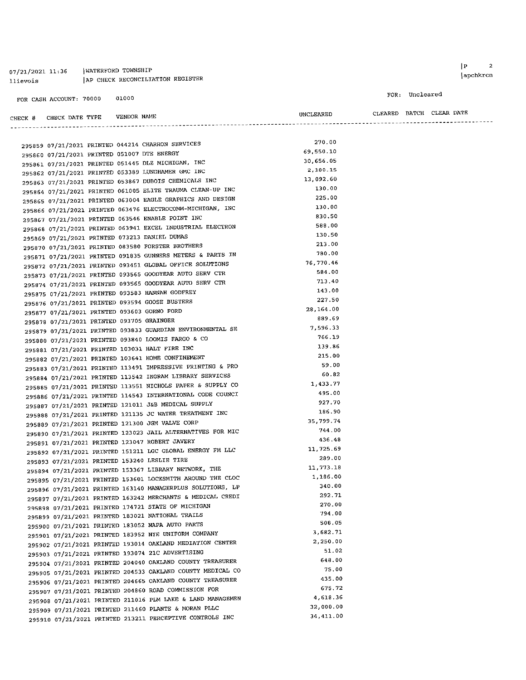#### 07/21/2021 11:36 | WATERFORD TOWNSHIP llievois | AP CHECK RECONCILIATION REGISTER

FOR CASH ACCOUNT: 70000 01000

### FOR: Uncleared

CLEARED BATCH CLEAR DATE

| CHECK # CHECK DATE TYPE VENDOR NAME         |  |                                                                                                                 | UNCLEARED            |  | CLEARED BATCH CLEAR DATE |
|---------------------------------------------|--|-----------------------------------------------------------------------------------------------------------------|----------------------|--|--------------------------|
|                                             |  |                                                                                                                 |                      |  |                          |
|                                             |  | 295859 07/21/2021 PRINTED 044214 CHARRON SERVICES                                                               | 270.00               |  |                          |
| 295860 07/21/2021 PRINTED 051007 DTE ENERGY |  |                                                                                                                 | 69,550.10            |  |                          |
|                                             |  | 295861 07/21/2021 PRINTED 051445 DLZ MICHIGAN, INC                                                              | 30,656.05            |  |                          |
|                                             |  | 295862 07/21/2021 PRINTED 053389 LUNGHAMER GMC INC                                                              | 2,180.15             |  |                          |
|                                             |  | 295863 07/21/2021 PRINTED 053867 DUBOIS CHEMICALS INC                                                           | 13,092.60            |  |                          |
|                                             |  | 295864 07/21/2021 PRINTED 061005 ELITE TRAUMA CLEAN-UP INC                                                      | 130.00               |  |                          |
|                                             |  | 295865 07/21/2021 PRINTED 063004 EAGLE GRAPHICS AND DESIGN                                                      | 225.00               |  |                          |
|                                             |  | 295866 07/21/2021 PRINTED 063476 ELECTROCOMM-MICHIGAN, INC                                                      | 130.00               |  |                          |
|                                             |  |                                                                                                                 | 830.50               |  |                          |
|                                             |  | 295867 07/21/2021 PRINTED 063546 ENABLE POINT INC<br>295868 07/21/2021 PRINTED 063941 EXCEL INDUSTRIAL ELECTRON | 588.00               |  |                          |
|                                             |  |                                                                                                                 | 130.50               |  |                          |
|                                             |  | 295869 07/21/2021 PRINTED 073213 DANIEL DUMAS                                                                   | 213.00               |  |                          |
|                                             |  | 295870 07/21/2021 PRINTED 083580 FORSTER BROTHERS<br>295871 07/21/2021 PRINTED 091835 GUNNERS METERS & PARTS IN | 780.00               |  |                          |
|                                             |  |                                                                                                                 | 76,770.46            |  |                          |
|                                             |  | 295872 07/21/2021 PRINTED 093451 GLOBAL OFFICE SOLUTIONS                                                        | 584.00               |  |                          |
|                                             |  | 295873 07/21/2021 PRINTED 093565 GOODYEAR AUTO SERV CTR                                                         | 713.40               |  |                          |
|                                             |  | 295874 07/21/2021 PRINTED 093565 GOODYEAR AUTO SERV CTR                                                         | 143.00               |  |                          |
|                                             |  | 295875 07/21/2021 PRINTED 093583 HANNAH GODFREY                                                                 | 227.50               |  |                          |
|                                             |  | 295876 07/21/2021 PRINTED 093594 GOOSE BUSTERS                                                                  | 28,164.00            |  |                          |
|                                             |  | 295877 07/21/2021 PRINTED 093603 GORNO FORD                                                                     | 889.69               |  |                          |
| 295878 07/21/2021 PRINTED 093705 GRAINGER   |  |                                                                                                                 | 7,596.33             |  |                          |
|                                             |  | 295879 07/21/2021 PRINTED 093833 GUARDIAN ENVIRONMENTAL SE                                                      | 766.19               |  |                          |
|                                             |  | 295880 07/21/2021 PRINTED 093840 LOOMIS FARGO & CO                                                              | 139.86               |  |                          |
|                                             |  | 295881 07/21/2021 PRINTED 103031 HALT FIRE INC                                                                  | 215.00               |  |                          |
|                                             |  | 295882 07/21/2021 PRINTED 103641 HOME CONFINEMENT                                                               | 59.00                |  |                          |
|                                             |  | 295883 07/21/2021 PRINTED 113491 IMPRESSIVE PRINTING & PRO                                                      | 60.82                |  |                          |
|                                             |  | 295884 07/21/2021 PRINTED 113542 INGRAM LIBRARY SERVICES                                                        |                      |  |                          |
|                                             |  | 295885 07/21/2021 PRINTED 113551 NICHOLS PAPER & SUPPLY CO                                                      | 1,433.77             |  |                          |
|                                             |  | 295886 07/21/2021 PRINTED 114543 INTERNATIONAL CODE COUNCI                                                      | 495.00               |  |                          |
|                                             |  | 295887 07/21/2021 PRINTED 121011 J&B MEDICAL SUPPLY                                                             | 927.70<br>186.90     |  |                          |
|                                             |  | 295888 07/21/2021 PRINTED 121135 JC WATER TREATMENT INC                                                         |                      |  |                          |
|                                             |  | 295889 07/21/2021 PRINTED 121300 JGM VALVE CORP                                                                 | 35, 799.74<br>744.00 |  |                          |
|                                             |  | 295890 07/21/2021 PRINTED 123023 JAIL ALTERNATIVES FOR MIC                                                      |                      |  |                          |
|                                             |  | 295891 07/21/2021 PRINTED 123047 ROBERT JAVERY                                                                  | 436.48               |  |                          |
|                                             |  | 295892 07/21/2021 PRINTED 151211 LGC GLOBAL ENERGY FM LLC                                                       | 11,725.69            |  |                          |
|                                             |  | 295893 07/21/2021 PRINTED 153240 LESLIE TIRE                                                                    | 289.00               |  |                          |
|                                             |  | 295894 07/21/2021 PRINTED 153367 LIBRARY NETWORK, THE                                                           | 11, 773.18           |  |                          |
|                                             |  | 295895 07/21/2021 PRINTED 153601 LOCKSMITH AROUND THE CLOC                                                      | 1,186.00             |  |                          |
|                                             |  | 295896 07/21/2021 PRINTED 163140 MANAGERPLUS SOLUTIONS, LP                                                      | 340.00               |  |                          |
|                                             |  | 295897 07/21/2021 PRINTED 163242 MERCHANTS & MEDICAL CREDI                                                      | 292.71               |  |                          |
|                                             |  | 295898 07/21/2021 PRINTED 174721 STATE OF MICHIGAN                                                              | 270.00               |  |                          |
|                                             |  | 295899 07/21/2021 PRINTED 183021 NATIONAL TRAILS                                                                | 794.00               |  |                          |
|                                             |  | 295900 07/21/2021 PRINTED 183052 NAPA AUTO PARTS                                                                | 508.05               |  |                          |
|                                             |  | 295901 07/21/2021 PRINTED 183952 NYE UNIFORM COMPANY                                                            | 3,682.71             |  |                          |
|                                             |  | 295902 07/21/2021 PRINTED 193014 OAKLAND MEDIATION CENTER                                                       | 2,250.00             |  |                          |
|                                             |  | 295903 07/21/2021 PRINTED 193074 21C ADVERTISING                                                                | 51.02                |  |                          |
|                                             |  | 295904 07/21/2021 PRINTED 204040 OAKLAND COUNTY TREASURER                                                       | 648.00               |  |                          |
|                                             |  | 295905 07/21/2021 PRINTED 204533 OAKLAND COUNTY MEDICAL CO                                                      | 75.00                |  |                          |
|                                             |  | 295906 07/21/2021 PRINTED 204665 OAKLAND COUNTY TREASURER                                                       | 435.00               |  |                          |
|                                             |  | 295907 07/21/2021 PRINTED 204860 ROAD COMMISSION FOR                                                            | 675.72               |  |                          |
|                                             |  | 295908 07/21/2021 PRINTED 211016 PLM LAKE & LAND MANAGEMEN                                                      | 4,618.36             |  |                          |
|                                             |  | 295909 07/21/2021 PRINTED 211460 PLANTE & MORAN PLLC                                                            | 32,000.00            |  |                          |
|                                             |  | 295910 07/21/2021 PRINTED 213211 PERCEPTIVE CONTROLS INC                                                        | 34,411.00            |  |                          |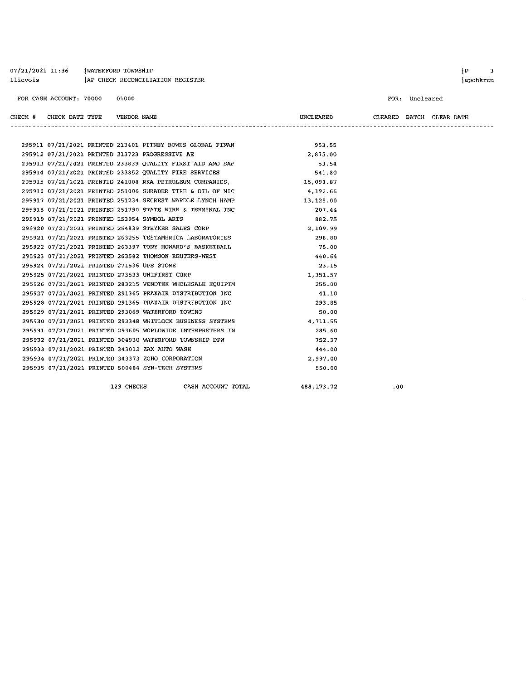| 07/21/2021 11:36 | WATERFORD TOWNSHIP               |
|------------------|----------------------------------|
| llievois         | AP CHECK RECONCILIATION REGISTER |

FOR CASH ACCOUNT: 70000 01000

FOR: Uncleared

| CHECK # CHECK DATE TYPE VENDOR NAME        |  |                                                            | UNCLEARED | CLEARED BATCH CLEAR DATE |  |  |
|--------------------------------------------|--|------------------------------------------------------------|-----------|--------------------------|--|--|
|                                            |  |                                                            |           |                          |  |  |
|                                            |  | 295911 07/21/2021 PRINTED 213401 PITNEY BOWES GLOBAL FINAN | 953.55    |                          |  |  |
|                                            |  | 295912 07/21/2021 PRINTED 213723 PROGRESSIVE AE            | 2,875.00  |                          |  |  |
|                                            |  | 295913 07/21/2021 PRINTED 233839 QUALITY FIRST AID AND SAF | 53.54     |                          |  |  |
|                                            |  | 295914 07/21/2021 PRINTED 233852 QUALITY FIRE SERVICES     | 541.80    |                          |  |  |
|                                            |  | 295915 07/21/2021 PRINTED 241008 RKA PETROLEUM COMPANIES,  | 16,098.87 |                          |  |  |
|                                            |  | 295916 07/21/2021 PRINTED 251006 SHRADER TIRE & OIL OF MIC | 4,192.66  |                          |  |  |
|                                            |  | 295917 07/21/2021 PRINTED 251234 SECREST WARDLE LYNCH HAMP | 13,125.00 |                          |  |  |
|                                            |  | 295918 07/21/2021 PRINTED 251790 STATE WIRE & TERMINAL INC | 207.44    |                          |  |  |
|                                            |  | 295919 07/21/2021 PRINTED 253954 SYMBOL ARTS               | 882.75    |                          |  |  |
|                                            |  | 295920 07/21/2021 PRINTED 254839 STRYKER SALES CORP        | 2.109.99  |                          |  |  |
|                                            |  | 295921 07/21/2021 PRINTED 263255 TESTAMERICA LABORATORIES  | 298.80    |                          |  |  |
|                                            |  | 295922 07/21/2021 PRINTED 263397 TONY HOWARD'S BASKETBALL  | 75.00     |                          |  |  |
|                                            |  | 295923 07/21/2021 PRINTED 263582 THOMSON REUTERS-WEST      | 440.64    |                          |  |  |
| 295924 07/21/2021 PRINTED 271536 UPS STORE |  |                                                            | 23.15     |                          |  |  |
|                                            |  | 295925 07/21/2021 PRINTED 273533 UNIFIRST CORP             | 1,351.57  |                          |  |  |
|                                            |  | 295926 07/21/2021 PRINTED 283215 VENDTEK WHOLESALE EQUIPTM | 255.00    |                          |  |  |
|                                            |  | 295927 07/21/2021 PRINTED 291365 PRAXAIR DISTRIBUTION INC  | 41.10     |                          |  |  |
|                                            |  | 295928 07/21/2021 PRINTED 291365 PRAXAIR DISTRIBUTION INC  | 293.85    |                          |  |  |
|                                            |  | 295929 07/21/2021 PRINTED 293069 WATERFORD TOWING          | 50.00     |                          |  |  |
|                                            |  | 295930 07/21/2021 PRINTED 293348 WHITLOCK BUSINESS SYSTEMS | 4,711.55  |                          |  |  |
|                                            |  | 295931 07/21/2021 PRINTED 293605 WORLDWIDE INTERPRETERS IN | 285.60    |                          |  |  |
|                                            |  | 295932 07/21/2021 PRINTED 304930 WATERFORD TOWNSHIP DPW    | 752.37    |                          |  |  |
|                                            |  | 295933 07/21/2021 PRINTED 343012 ZAX AUTO WASH             | 444.00    |                          |  |  |
|                                            |  | 295934 07/21/2021 PRINTED 343373 ZOHO CORPORATION          | 2,997.00  |                          |  |  |
|                                            |  | 295935 07/21/2021 PRINTED 500484 SYN-TECH SYSTEMS          | 550.00    |                          |  |  |
|                                            |  |                                                            |           |                          |  |  |

129 CHECKS CASH ACCOUNT TOTAL

488, 173.72

 $.00$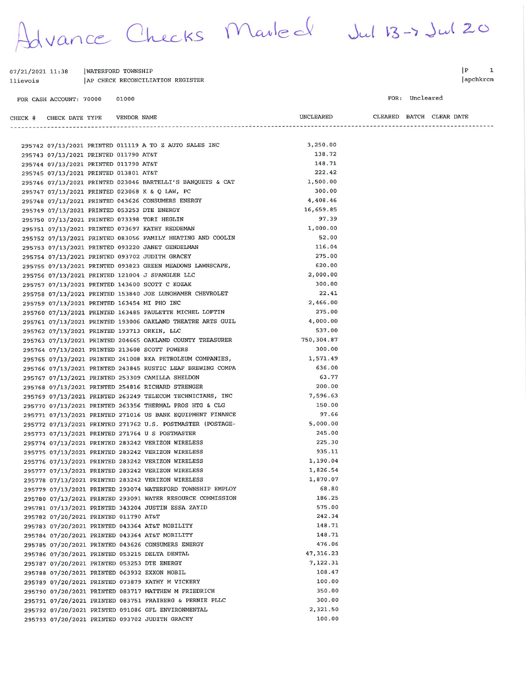dvance Checks Marled Jul 13-7 Jul 20

UNCLEARED

| 07/21/2021 11:38        | WATERFORD TOWNSHIP               |  |
|-------------------------|----------------------------------|--|
| llievois                | AP CHECK RECONCILIATION REGISTER |  |
| FOR CASH ACCOUNT: 70000 | 01000                            |  |

 $|P|$  $\mathbf 1$ apchkrcn

FOR: Uncleared

CLEARED BATCH CLEAR DATE

| CHECK # CHECK DATE TYPE    VENDOR NAME |  |                                                                         | UNCLEARED          |  | CLEARED BATCH CLEAR DATE |
|----------------------------------------|--|-------------------------------------------------------------------------|--------------------|--|--------------------------|
|                                        |  | --------------------------                                              | ----------------   |  |                          |
|                                        |  |                                                                         |                    |  |                          |
|                                        |  | 295742 07/13/2021 PRINTED 011119 A TO Z AUTO SALES INC                  | 3,250.00<br>138.72 |  |                          |
| 295743 07/13/2021 PRINTED 011790 AT&T  |  |                                                                         | 148.71             |  |                          |
| 295744 07/13/2021 PRINTED 011790 AT&T  |  |                                                                         | 222.42             |  |                          |
| 295745 07/13/2021 PRINTED 013801 AT&T  |  | 295746 07/13/2021 PRINTED 023046 BARTELLI'S BANQUETS & CAT              | 1,500.00           |  |                          |
|                                        |  | 295747 07/13/2021 PRINTED 023068 K & Q LAW, PC                          | 300.00             |  |                          |
|                                        |  | 295748 07/13/2021 PRINTED 043626 CONSUMERS ENERGY                       | 4,408.46           |  |                          |
|                                        |  | 295749 07/13/2021 PRINTED 053253 DTE ENERGY                             | 16,659.85          |  |                          |
|                                        |  | 295750 07/13/2021 PRINTED 073398 TORI HEGLIN                            | 97.39              |  |                          |
|                                        |  | 295751 07/13/2021 PRINTED 073697 KATHY REDDEMAN                         | 1,000.00           |  |                          |
|                                        |  | 295752 07/13/2021 PRINTED 083056 FAMILY HEATING AND COOLIN              | 52.00              |  |                          |
|                                        |  | 295753 07/13/2021 PRINTED 093220 JANET GENDELMAN                        | 116.04             |  |                          |
|                                        |  | 295754 07/13/2021 PRINTED 093702 JUDITH GRACEY                          | 275.00             |  |                          |
|                                        |  | 295755        07/13/2021 PRINTED        093823 GREEN MEADOWS LAWNSCAPE, | 620.00             |  |                          |
|                                        |  | 295756 07/13/2021 PRINTED 121004 J SPANGLER LLC                         | 2,000.00           |  |                          |
|                                        |  | 295757 07/13/2021 PRINTED 143600 SCOTT C KOZAK                          | 300.00             |  |                          |
|                                        |  | 295758 07/13/2021 PRINTED 153840 JOE LUNGHAMER CHEVROLET                | 22.41              |  |                          |
|                                        |  | 295759 07/13/2021 PRINTED 163454 MI PHO INC                             | 2,466.00           |  |                          |
|                                        |  | 295760 07/13/2021 PRINTED 163485 PAULETTE MICHEL LOFTIN                 | 275.00             |  |                          |
|                                        |  | 295761 07/13/2021 PRINTED 193006 OAKLAND THEATRE ARTS GUIL              | 4,000.00           |  |                          |
|                                        |  | 295762 07/13/2021 PRINTED 193713 ORKIN, LLC                             | 537.00             |  |                          |
|                                        |  | 295763 07/13/2021 PRINTED 204665 OAKLAND COUNTY TREASURER               | 750,304.87         |  |                          |
|                                        |  | 295764 07/13/2021 PRINTED 213608 SCOTT POWERS                           | 300.00             |  |                          |
|                                        |  | 295765 07/13/2021 PRINTED 241008 RKA PETROLEUM COMPANIES,               | 1,571.49           |  |                          |
|                                        |  | 295766 07/13/2021 PRINTED 243845 RUSTIC LEAF BREWING COMPA              | 636.00             |  |                          |
|                                        |  | 295767 07/13/2021 PRINTED 253309 CAMILLA SHELDON                        | 63.77              |  |                          |
|                                        |  | 295768 07/13/2021 PRINTED 254816 RICHARD STRENGER                       | 200.00             |  |                          |
|                                        |  | 295769 07/13/2021 PRINTED 263249 TELECOM TECHNICIANS, INC               | 7,596.63           |  |                          |
|                                        |  | 295770 07/13/2021 PRINTED 263356 THERMAL PROS HTG & CLG                 | 150.00             |  |                          |
|                                        |  | 295771 07/13/2021 PRINTED 271016 US BANK EQUIPMENT FINANCE              | 97.66              |  |                          |
|                                        |  | 295772 07/13/2021 PRINTED 271762 U.S. POSTMASTER (POSTAGE-              | 5,000.00           |  |                          |
|                                        |  | 295773 07/13/2021 PRINTED 271764 U S POSTMASTER                         | 245.00             |  |                          |
|                                        |  | 295774 07/13/2021 PRINTED 283242 VERIZON WIRELESS                       | 225.30             |  |                          |
|                                        |  | 295775 07/13/2021 PRINTED 283242 VERIZON WIRELESS                       | 935.11             |  |                          |
|                                        |  | 295776 07/13/2021 PRINTED 283242 VERIZON WIRELESS                       | 1,190.04           |  |                          |
|                                        |  | 295777 07/13/2021 PRINTED 283242 VERIZON WIRELESS                       | 1,826.54           |  |                          |
|                                        |  | 295778 07/13/2021 PRINTED 283242 VERIZON WIRELESS                       | 1,870.07           |  |                          |
|                                        |  | 295779 07/13/2021 PRINTED 293074 WATERFORD TOWNSHIP EMPLOY              | 68.80              |  |                          |
|                                        |  | 295780 07/13/2021 PRINTED 293091 WATER RESOURCE COMMISSION              | 186.25             |  |                          |
|                                        |  | 295781 07/13/2021 PRINTED 343204 JUSTIN ESSA ZAYID                      | 575.00             |  |                          |
| 295782 07/20/2021 PRINTED 011790 AT&T  |  |                                                                         | 242.34             |  |                          |
|                                        |  | 295783 07/20/2021 PRINTED 043364 AT&T MOBILITY                          | 148.71             |  |                          |
|                                        |  | 295784 07/20/2021 PRINTED 043364 AT&T MOBILITY                          | 148.71             |  |                          |
|                                        |  | 295785 07/20/2021 PRINTED 043626 CONSUMERS ENERGY                       | 476.06             |  |                          |
|                                        |  | 295786 07/20/2021 PRINTED 053215 DELTA DENTAL                           | 47, 316.23         |  |                          |
|                                        |  | 295787 07/20/2021 PRINTED 053253 DTE ENERGY                             | 7,122.31           |  |                          |
|                                        |  | 295788 07/20/2021 PRINTED 063932 EXXON MOBIL                            | 108.47             |  |                          |
|                                        |  | 295789 07/20/2021 PRINTED 073879 KATHY M VICKERY                        | 100.00             |  |                          |
|                                        |  | 295790 07/20/2021 PRINTED 083717 MATTHEW M FRIEDRICH                    | 350.00             |  |                          |
|                                        |  | 295791 07/20/2021 PRINTED 083751 FRAIBERG & PERNIE PLLC                 | 300.00             |  |                          |
|                                        |  | 295792 07/20/2021 PRINTED 091086 GFL ENVIRONMENTAL                      | 2,321.50           |  |                          |
|                                        |  | 295793 07/20/2021 PRINTED 093702 JUDITH GRACEY                          | 100.00             |  |                          |